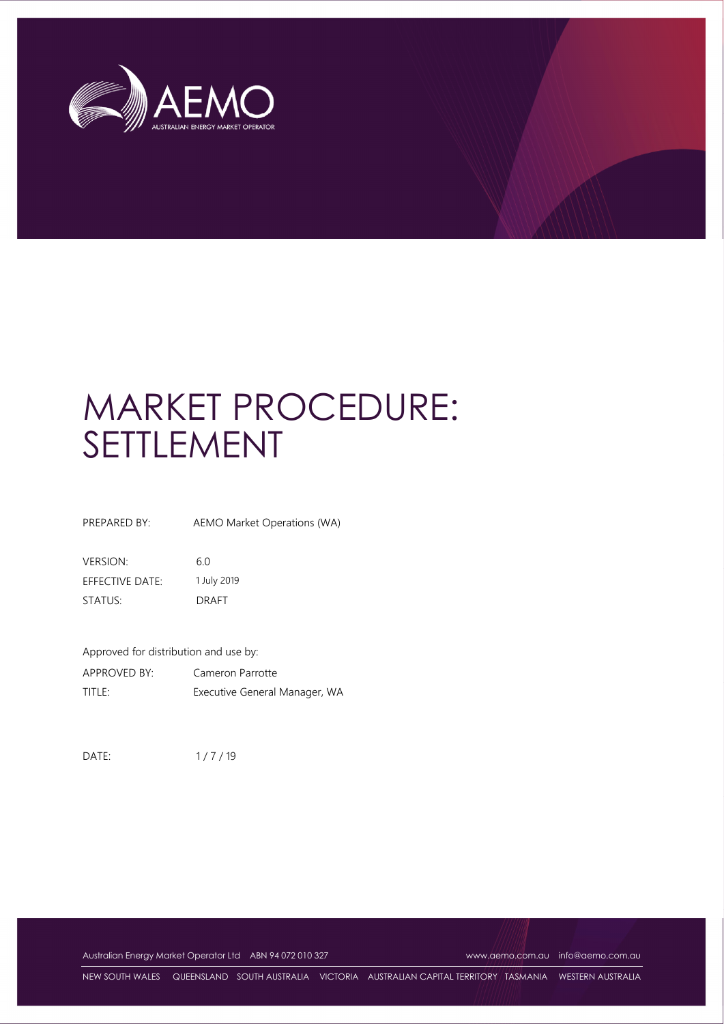

# MARKET PROCEDURE: SETTLEMENT

PREPARED BY: AEMO Market Operations (WA)

VERSION: 6.0 EFFECTIVE DATE: 1 July 2019 STATUS: DRAFT

Approved for distribution and use by: APPROVED BY: Cameron Parrotte TITLE: Executive General Manager, WA

DATE: 1/7/19

Australian Energy Market Operator Ltd ABN 94 072 010 327 www.aemo.com.au info@aemo.com.au

NEW SOUTH WALES QUEENSLAND SOUTH AUSTRALIA VICTORIA AUSTRALIAN CAPITAL TERRITORY TASMANIA WESTERN AUSTRALIA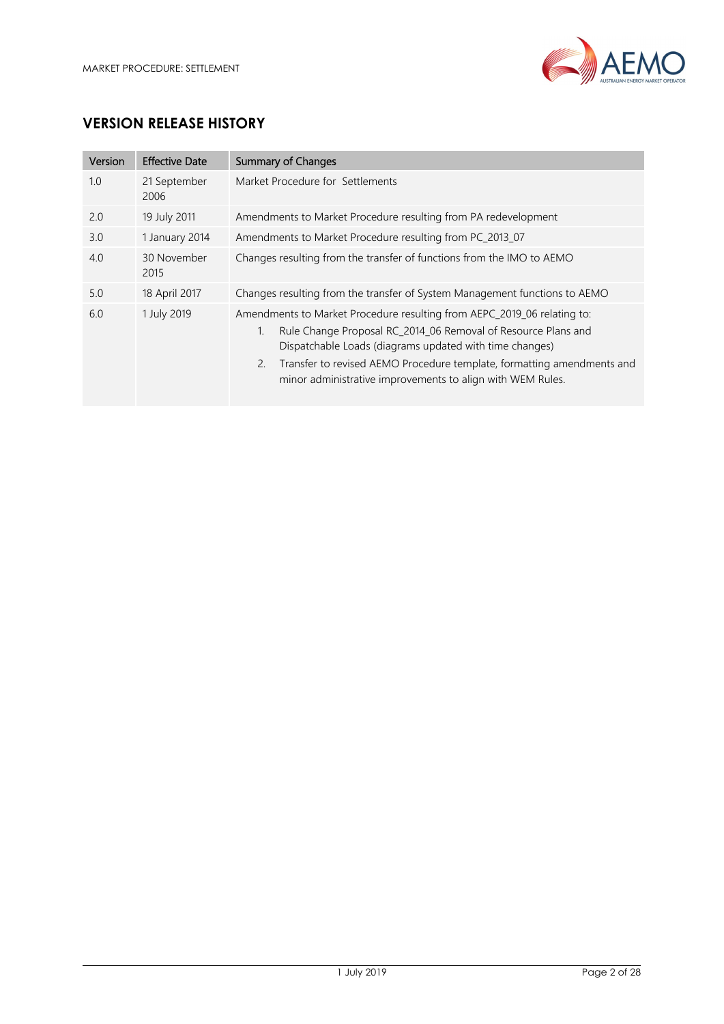

# **VERSION RELEASE HISTORY**

| Version | <b>Effective Date</b> | <b>Summary of Changes</b>                                                                                                                                                                                                                                                                                                                               |
|---------|-----------------------|---------------------------------------------------------------------------------------------------------------------------------------------------------------------------------------------------------------------------------------------------------------------------------------------------------------------------------------------------------|
| 1.0     | 21 September<br>2006  | Market Procedure for Settlements                                                                                                                                                                                                                                                                                                                        |
| 2.0     | 19 July 2011          | Amendments to Market Procedure resulting from PA redevelopment                                                                                                                                                                                                                                                                                          |
| 3.0     | 1 January 2014        | Amendments to Market Procedure resulting from PC_2013_07                                                                                                                                                                                                                                                                                                |
| 4.0     | 30 November<br>2015   | Changes resulting from the transfer of functions from the IMO to AEMO                                                                                                                                                                                                                                                                                   |
| 5.0     | 18 April 2017         | Changes resulting from the transfer of System Management functions to AEMO                                                                                                                                                                                                                                                                              |
| 6.0     | 1 July 2019           | Amendments to Market Procedure resulting from AEPC_2019_06 relating to:<br>Rule Change Proposal RC_2014_06 Removal of Resource Plans and<br>1.<br>Dispatchable Loads (diagrams updated with time changes)<br>Transfer to revised AEMO Procedure template, formatting amendments and<br>2.<br>minor administrative improvements to align with WEM Rules. |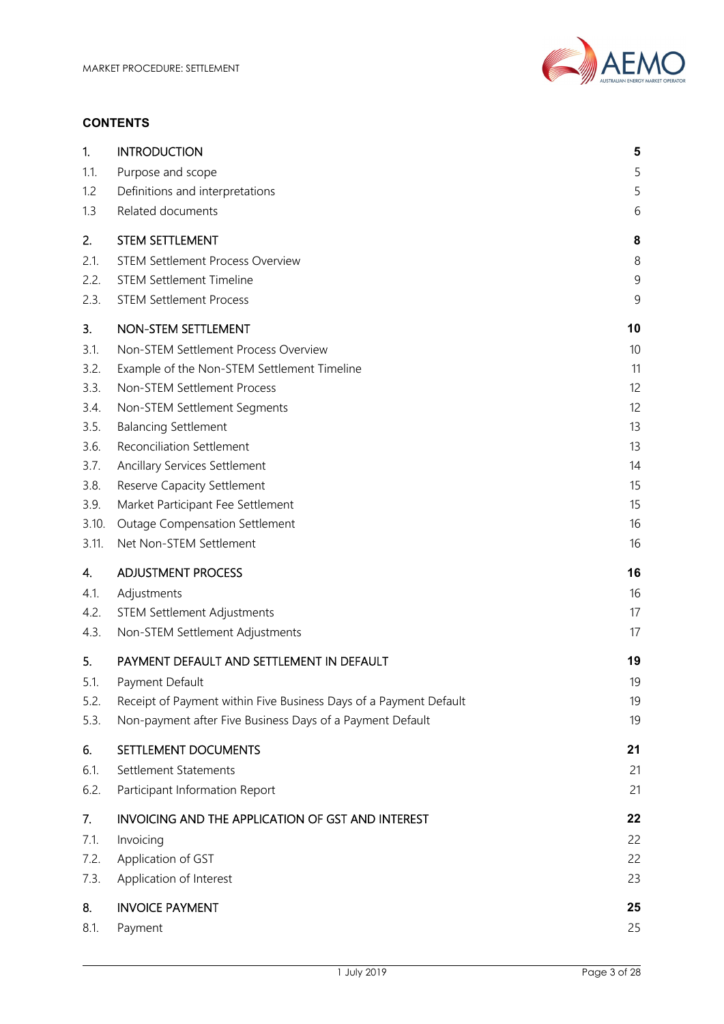

#### **CONTENTS**

| 1.    | <b>INTRODUCTION</b>                                               | 5   |
|-------|-------------------------------------------------------------------|-----|
| 1.1.  | Purpose and scope                                                 | 5   |
| 1.2   | Definitions and interpretations                                   | 5   |
| 1.3   | Related documents                                                 | 6   |
| 2.    | <b>STEM SETTLEMENT</b>                                            | 8   |
| 2.1.  | <b>STEM Settlement Process Overview</b>                           | 8   |
| 2.2.  | <b>STEM Settlement Timeline</b>                                   | $9$ |
| 2.3.  | <b>STEM Settlement Process</b>                                    | 9   |
| 3.    | NON-STEM SETTLEMENT                                               | 10  |
| 3.1.  | Non-STEM Settlement Process Overview                              | 10  |
| 3.2.  | Example of the Non-STEM Settlement Timeline                       | 11  |
| 3.3.  | Non-STEM Settlement Process                                       | 12  |
| 3.4.  | Non-STEM Settlement Segments                                      | 12  |
| 3.5.  | <b>Balancing Settlement</b>                                       | 13  |
| 3.6.  | <b>Reconciliation Settlement</b>                                  | 13  |
| 3.7.  | <b>Ancillary Services Settlement</b>                              | 14  |
| 3.8.  | <b>Reserve Capacity Settlement</b>                                | 15  |
| 3.9.  | Market Participant Fee Settlement                                 | 15  |
| 3.10. | <b>Outage Compensation Settlement</b>                             | 16  |
| 3.11. | Net Non-STEM Settlement                                           | 16  |
| 4.    | <b>ADJUSTMENT PROCESS</b>                                         | 16  |
| 4.1.  | Adjustments                                                       | 16  |
| 4.2.  | <b>STEM Settlement Adjustments</b>                                | 17  |
| 4.3.  | Non-STEM Settlement Adjustments                                   | 17  |
| 5.    | PAYMENT DEFAULT AND SETTLEMENT IN DEFAULT                         | 19  |
| 5.1.  | Payment Default                                                   | 19  |
| 5.2.  | Receipt of Payment within Five Business Days of a Payment Default | 19  |
| 5.3.  | Non-payment after Five Business Days of a Payment Default         | 19  |
| 6.    | SETTLEMENT DOCUMENTS                                              | 21  |
| 6.1.  | Settlement Statements                                             | 21  |
| 6.2.  | Participant Information Report                                    | 21  |
| 7.    | <b>INVOICING AND THE APPLICATION OF GST AND INTEREST</b>          | 22  |
| 7.1.  | Invoicing                                                         | 22  |
| 7.2.  | Application of GST                                                | 22  |
| 7.3.  | Application of Interest                                           | 23  |
| 8.    | <b>INVOICE PAYMENT</b>                                            | 25  |
| 8.1.  | Payment                                                           | 25  |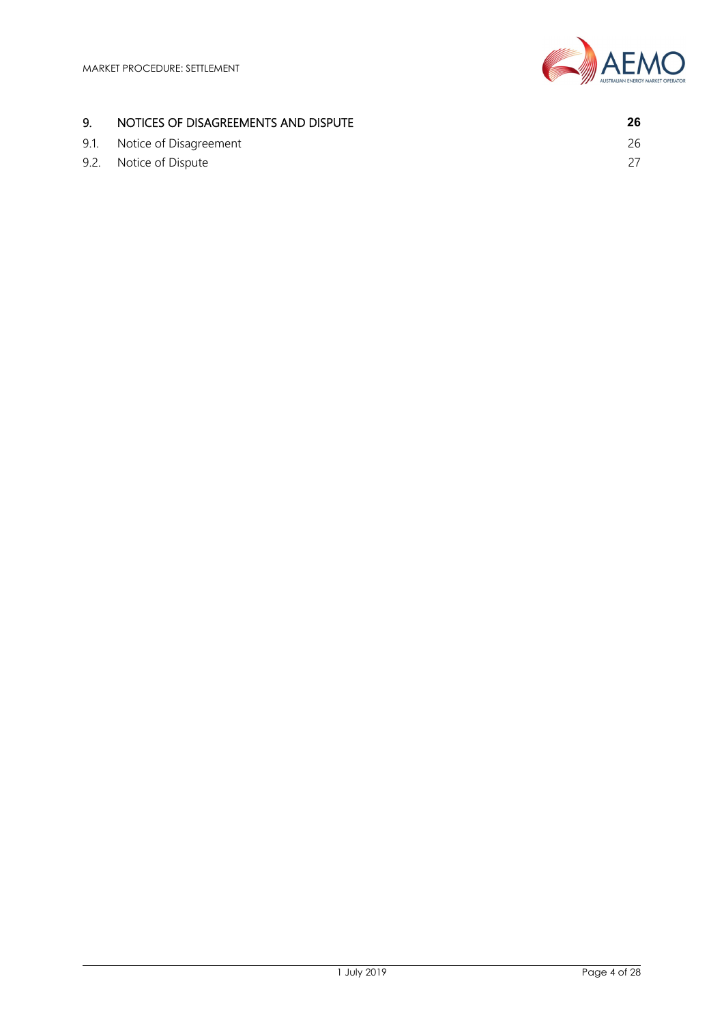

## 9. NOTICES OF DISAGREEMENTS AND DISPUTE **26**

9.1. Notice of Disagreement 26 9.2. Notice of Dispute 27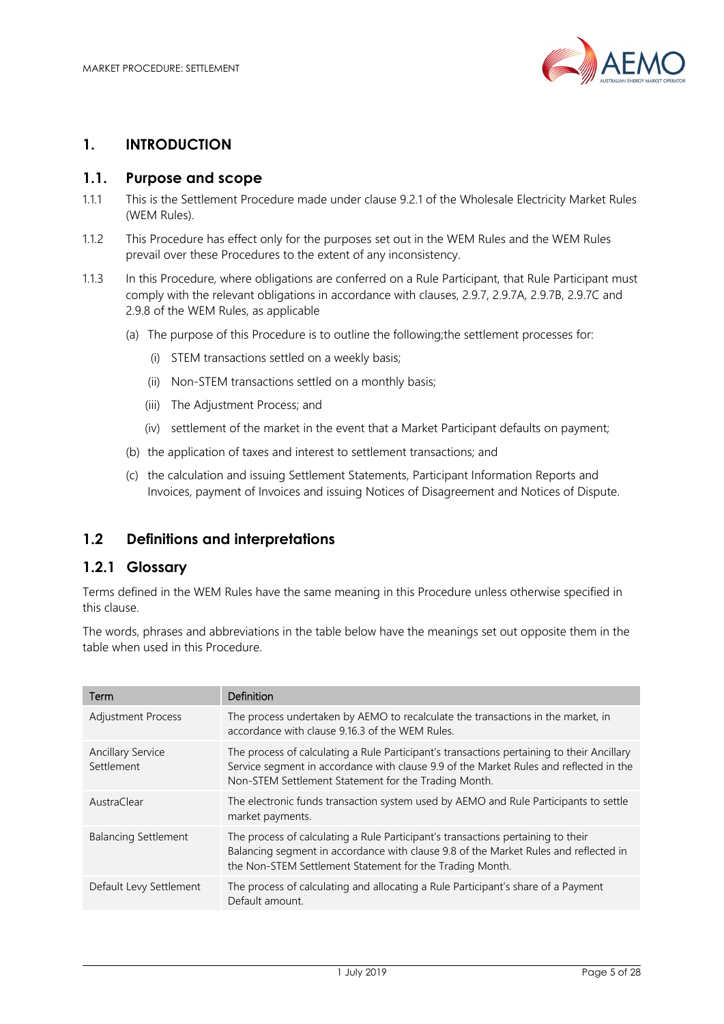

## **1. INTRODUCTION**

#### **1.1. Purpose and scope**

- 1.1.1 This is the Settlement Procedure made under clause 9.2.1 of the Wholesale Electricity Market Rules (WEM Rules).
- 1.1.2 This Procedure has effect only for the purposes set out in the WEM Rules and the WEM Rules prevail over these Procedures to the extent of any inconsistency.
- 1.1.3 In this Procedure, where obligations are conferred on a Rule Participant, that Rule Participant must comply with the relevant obligations in accordance with clauses, 2.9.7, 2.9.7A, 2.9.7B, 2.9.7C and 2.9.8 of the WEM Rules, as applicable
	- (a) The purpose of this Procedure is to outline the following;the settlement processes for:
		- (i) STEM transactions settled on a weekly basis;
		- (ii) Non-STEM transactions settled on a monthly basis;
		- (iii) The Adjustment Process; and
		- (iv) settlement of the market in the event that a Market Participant defaults on payment;
	- (b) the application of taxes and interest to settlement transactions; and
	- (c) the calculation and issuing Settlement Statements, Participant Information Reports and Invoices, payment of Invoices and issuing Notices of Disagreement and Notices of Dispute.

## **1.2 Definitions and interpretations**

#### **1.2.1 Glossary**

Terms defined in the WEM Rules have the same meaning in this Procedure unless otherwise specified in this clause.

The words, phrases and abbreviations in the table below have the meanings set out opposite them in the table when used in this Procedure.

| Term                                   | Definition                                                                                                                                                                                                                                   |
|----------------------------------------|----------------------------------------------------------------------------------------------------------------------------------------------------------------------------------------------------------------------------------------------|
| <b>Adjustment Process</b>              | The process undertaken by AEMO to recalculate the transactions in the market, in<br>accordance with clause 9.16.3 of the WEM Rules.                                                                                                          |
| <b>Ancillary Service</b><br>Settlement | The process of calculating a Rule Participant's transactions pertaining to their Ancillary<br>Service segment in accordance with clause 9.9 of the Market Rules and reflected in the<br>Non-STEM Settlement Statement for the Trading Month. |
| AustraClear                            | The electronic funds transaction system used by AEMO and Rule Participants to settle<br>market payments.                                                                                                                                     |
| <b>Balancing Settlement</b>            | The process of calculating a Rule Participant's transactions pertaining to their<br>Balancing segment in accordance with clause 9.8 of the Market Rules and reflected in<br>the Non-STEM Settlement Statement for the Trading Month.         |
| Default Levy Settlement                | The process of calculating and allocating a Rule Participant's share of a Payment<br>Default amount.                                                                                                                                         |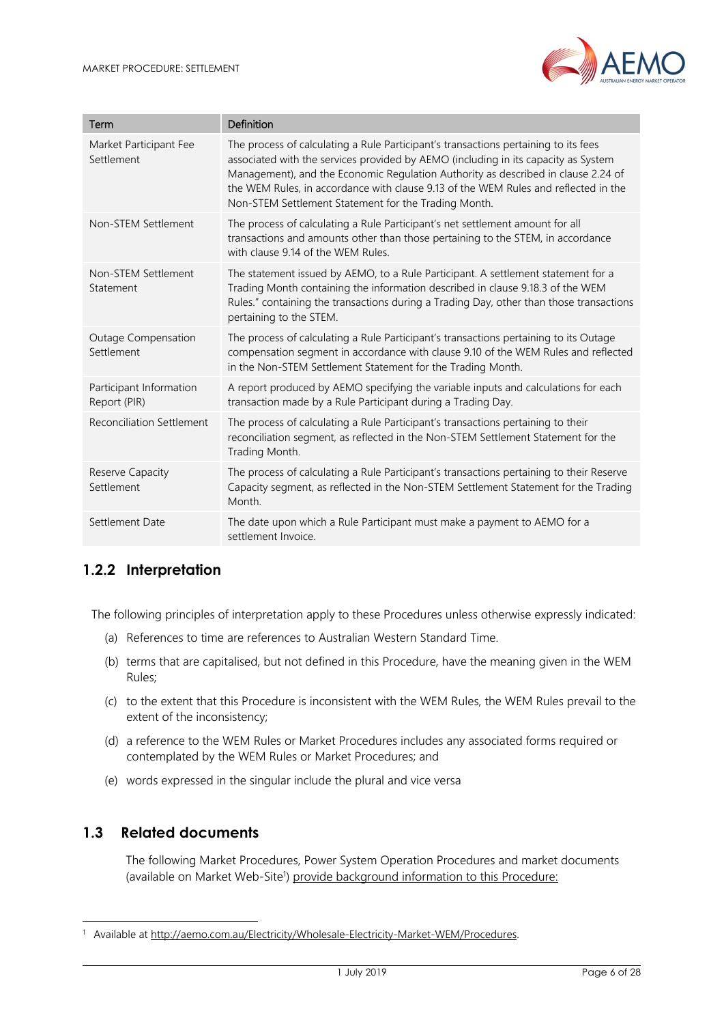

| Term                                     | Definition                                                                                                                                                                                                                                                                                                                                                                                                    |
|------------------------------------------|---------------------------------------------------------------------------------------------------------------------------------------------------------------------------------------------------------------------------------------------------------------------------------------------------------------------------------------------------------------------------------------------------------------|
| Market Participant Fee<br>Settlement     | The process of calculating a Rule Participant's transactions pertaining to its fees<br>associated with the services provided by AEMO (including in its capacity as System<br>Management), and the Economic Regulation Authority as described in clause 2.24 of<br>the WEM Rules, in accordance with clause 9.13 of the WEM Rules and reflected in the<br>Non-STEM Settlement Statement for the Trading Month. |
| Non-STEM Settlement                      | The process of calculating a Rule Participant's net settlement amount for all<br>transactions and amounts other than those pertaining to the STEM, in accordance<br>with clause 9.14 of the WFM Rules                                                                                                                                                                                                         |
| Non-STEM Settlement<br>Statement         | The statement issued by AEMO, to a Rule Participant. A settlement statement for a<br>Trading Month containing the information described in clause 9.18.3 of the WEM<br>Rules." containing the transactions during a Trading Day, other than those transactions<br>pertaining to the STEM.                                                                                                                     |
| <b>Outage Compensation</b><br>Settlement | The process of calculating a Rule Participant's transactions pertaining to its Outage<br>compensation segment in accordance with clause 9.10 of the WEM Rules and reflected<br>in the Non-STEM Settlement Statement for the Trading Month.                                                                                                                                                                    |
| Participant Information<br>Report (PIR)  | A report produced by AEMO specifying the variable inputs and calculations for each<br>transaction made by a Rule Participant during a Trading Day.                                                                                                                                                                                                                                                            |
| <b>Reconciliation Settlement</b>         | The process of calculating a Rule Participant's transactions pertaining to their<br>reconciliation segment, as reflected in the Non-STEM Settlement Statement for the<br>Trading Month.                                                                                                                                                                                                                       |
| Reserve Capacity<br>Settlement           | The process of calculating a Rule Participant's transactions pertaining to their Reserve<br>Capacity segment, as reflected in the Non-STEM Settlement Statement for the Trading<br>Month.                                                                                                                                                                                                                     |
| Settlement Date                          | The date upon which a Rule Participant must make a payment to AEMO for a<br>settlement Invoice.                                                                                                                                                                                                                                                                                                               |

# **1.2.2 Interpretation**

The following principles of interpretation apply to these Procedures unless otherwise expressly indicated:

- (a) References to time are references to Australian Western Standard Time.
- (b) terms that are capitalised, but not defined in this Procedure, have the meaning given in the WEM Rules;
- (c) to the extent that this Procedure is inconsistent with the WEM Rules, the WEM Rules prevail to the extent of the inconsistency;
- (d) a reference to the WEM Rules or Market Procedures includes any associated forms required or contemplated by the WEM Rules or Market Procedures; and
- (e) words expressed in the singular include the plural and vice versa

# **1.3 Related documents**

l

The following Market Procedures, Power System Operation Procedures and market documents (available on Market Web-Site<sup>1</sup>) provide background information to this Procedure:

<sup>&</sup>lt;sup>1</sup> Available at http://aemo.com.au/Electricity/Wholesale-Electricity-Market-WEM/Procedures.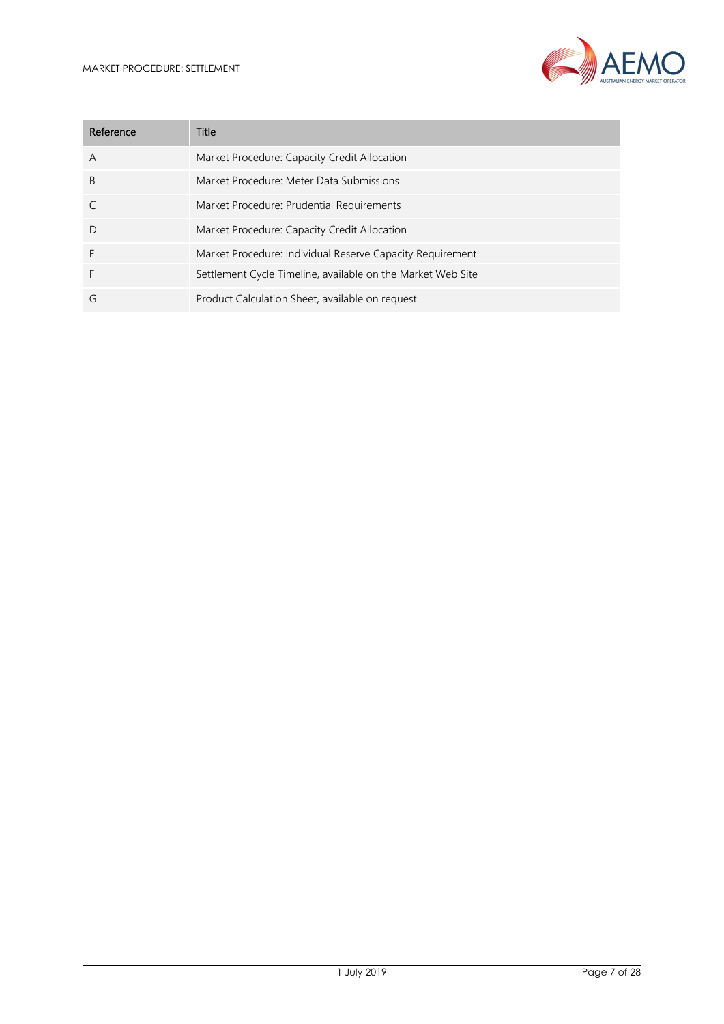

| Reference    | Title                                                       |
|--------------|-------------------------------------------------------------|
| A            | Market Procedure: Capacity Credit Allocation                |
| <sup>B</sup> | Market Procedure: Meter Data Submissions                    |
|              | Market Procedure: Prudential Requirements                   |
| $\mathsf{D}$ | Market Procedure: Capacity Credit Allocation                |
| E            | Market Procedure: Individual Reserve Capacity Requirement   |
| F            | Settlement Cycle Timeline, available on the Market Web Site |
| G            | Product Calculation Sheet, available on request             |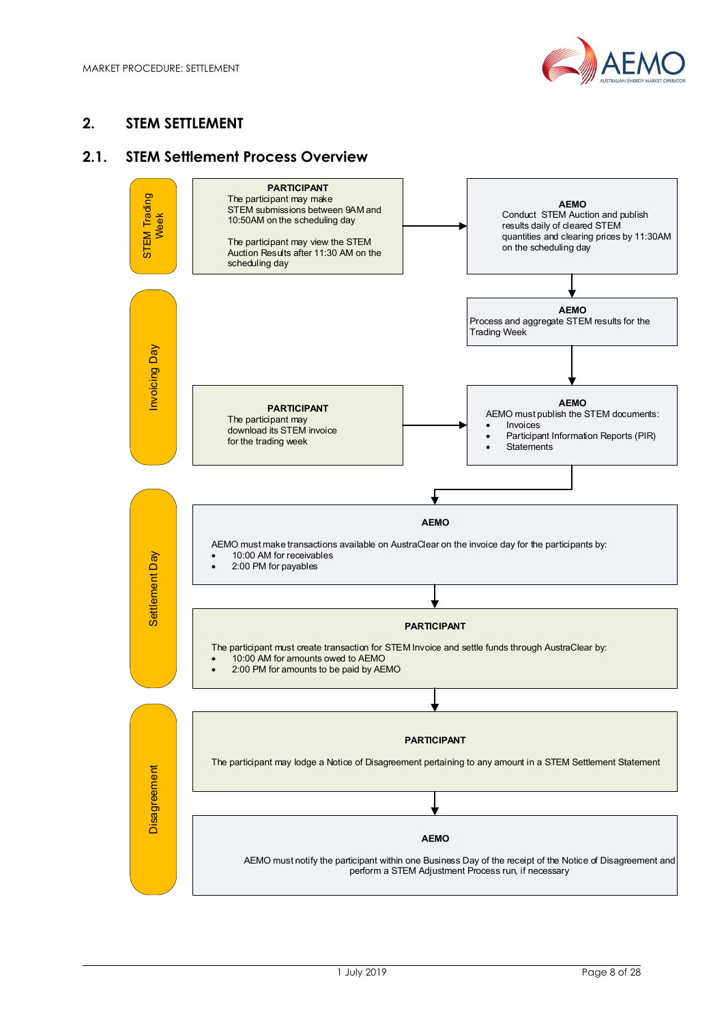

## **2. STEM SETTLEMENT**

## **2.1. STEM Settlement Process Overview**

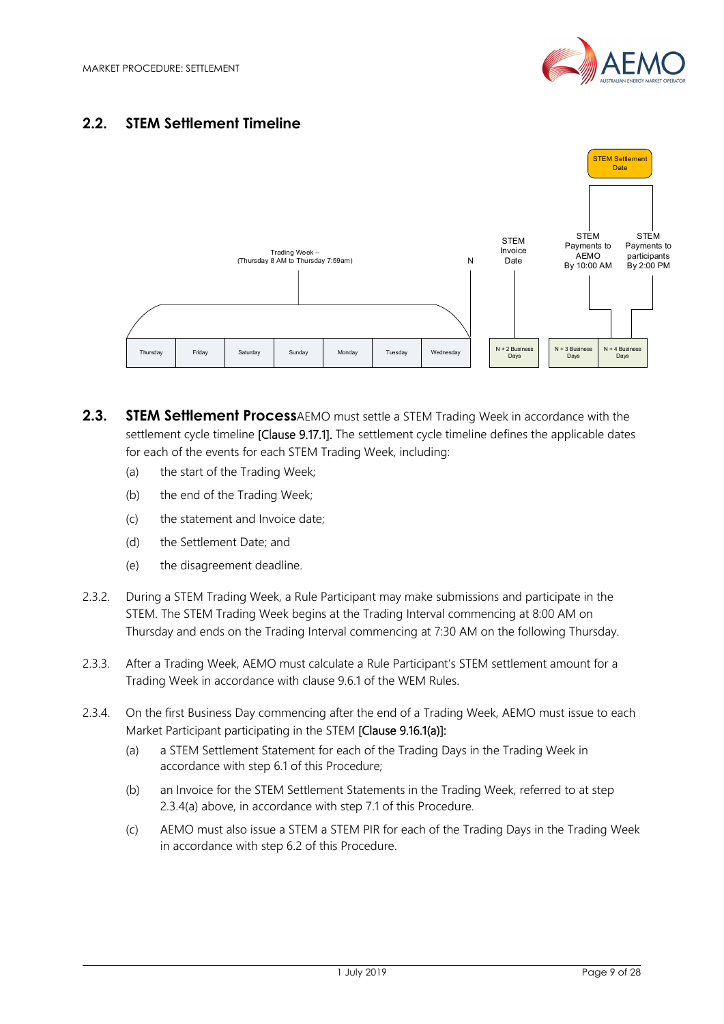

## **2.2. STEM Settlement Timeline**



- **2.3. STEM Settlement Process**AEMO must settle a STEM Trading Week in accordance with the settlement cycle timeline **[Clause 9.17.1].** The settlement cycle timeline defines the applicable dates for each of the events for each STEM Trading Week, including:
	- (a) the start of the Trading Week;
	- (b) the end of the Trading Week;
	- (c) the statement and Invoice date;
	- (d) the Settlement Date; and
	- (e) the disagreement deadline.
- 2.3.2. During a STEM Trading Week, a Rule Participant may make submissions and participate in the STEM. The STEM Trading Week begins at the Trading Interval commencing at 8:00 AM on Thursday and ends on the Trading Interval commencing at 7:30 AM on the following Thursday.
- 2.3.3. After a Trading Week, AEMO must calculate a Rule Participant's STEM settlement amount for a Trading Week in accordance with clause 9.6.1 of the WEM Rules.
- 2.3.4. On the first Business Day commencing after the end of a Trading Week, AEMO must issue to each Market Participant participating in the STEM [Clause 9.16.1(a)]:
	- (a) a STEM Settlement Statement for each of the Trading Days in the Trading Week in accordance with step 6.1 of this Procedure;
	- (b) an Invoice for the STEM Settlement Statements in the Trading Week, referred to at step 2.3.4(a) above, in accordance with step 7.1 of this Procedure.
	- (c) AEMO must also issue a STEM a STEM PIR for each of the Trading Days in the Trading Week in accordance with step 6.2 of this Procedure.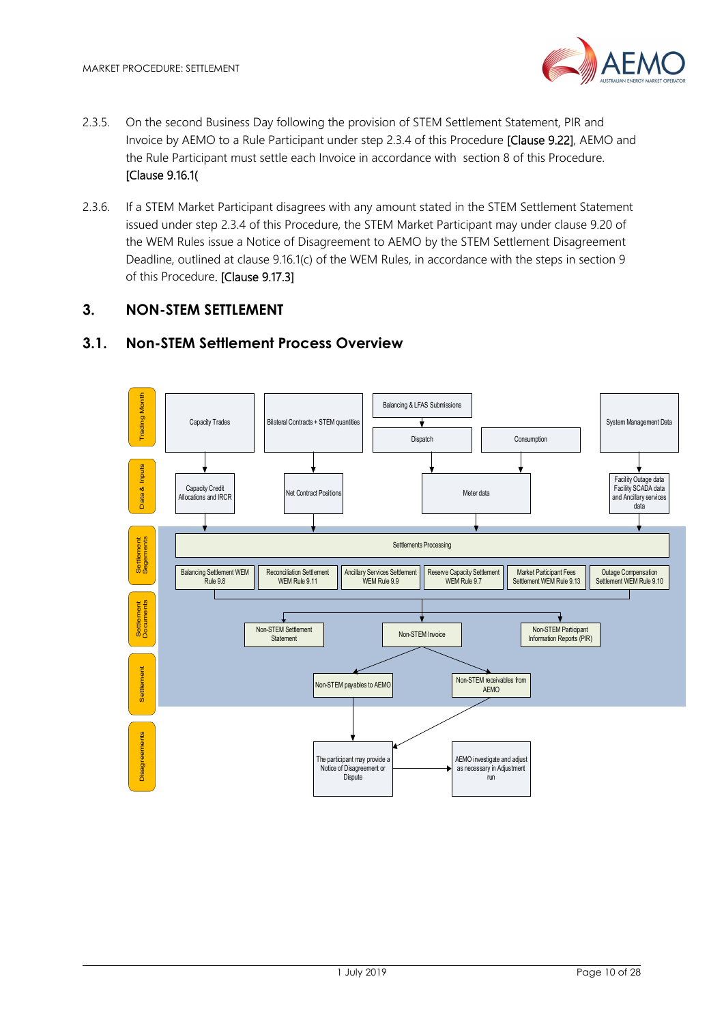- 2.3.5. On the second Business Day following the provision of STEM Settlement Statement, PIR and Invoice by AEMO to a Rule Participant under step 2.3.4 of this Procedure [Clause 9.22], AEMO and the Rule Participant must settle each Invoice in accordance with section 8 of this Procedure. [Clause 9.16.1(
- 2.3.6. If a STEM Market Participant disagrees with any amount stated in the STEM Settlement Statement issued under step 2.3.4 of this Procedure, the STEM Market Participant may under clause 9.20 of the WEM Rules issue a Notice of Disagreement to AEMO by the STEM Settlement Disagreement Deadline, outlined at clause 9.16.1(c) of the WEM Rules, in accordance with the steps in section 9 of this Procedure. [Clause 9.17.3]

## **3. NON-STEM SETTLEMENT**

## **3.1. Non-STEM Settlement Process Overview**

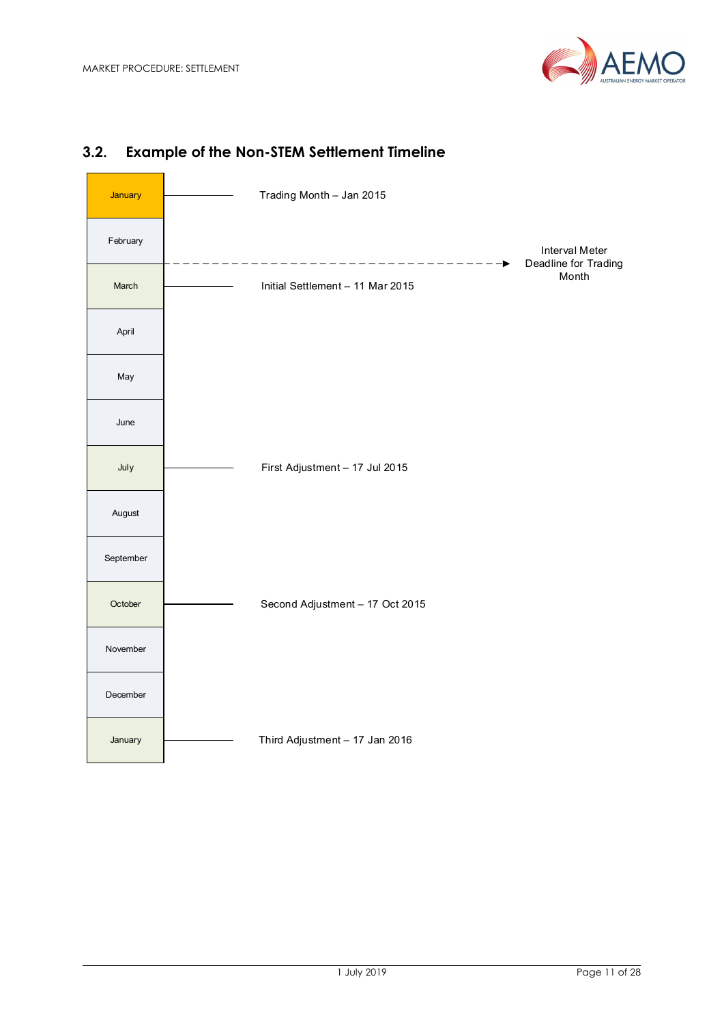



# **3.2. Example of the Non-STEM Settlement Timeline**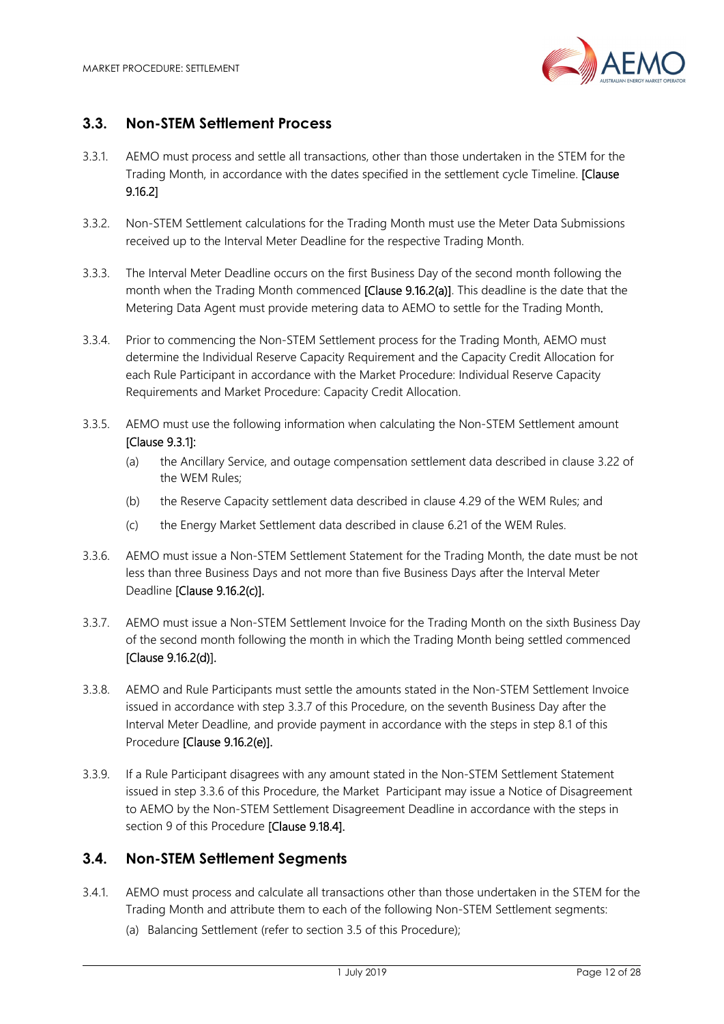

## **3.3. Non-STEM Settlement Process**

- 3.3.1. AEMO must process and settle all transactions, other than those undertaken in the STEM for the Trading Month, in accordance with the dates specified in the settlement cycle Timeline. [Clause] 9.16.2]
- 3.3.2. Non-STEM Settlement calculations for the Trading Month must use the Meter Data Submissions received up to the Interval Meter Deadline for the respective Trading Month.
- 3.3.3. The Interval Meter Deadline occurs on the first Business Day of the second month following the month when the Trading Month commenced [Clause 9.16.2(a)]. This deadline is the date that the Metering Data Agent must provide metering data to AEMO to settle for the Trading Month.
- 3.3.4. Prior to commencing the Non-STEM Settlement process for the Trading Month, AEMO must determine the Individual Reserve Capacity Requirement and the Capacity Credit Allocation for each Rule Participant in accordance with the Market Procedure: Individual Reserve Capacity Requirements and Market Procedure: Capacity Credit Allocation.
- 3.3.5. AEMO must use the following information when calculating the Non-STEM Settlement amount [Clause 9.3.1]:
	- (a) the Ancillary Service, and outage compensation settlement data described in clause 3.22 of the WEM Rules;
	- (b) the Reserve Capacity settlement data described in clause 4.29 of the WEM Rules; and
	- (c) the Energy Market Settlement data described in clause 6.21 of the WEM Rules.
- 3.3.6. AEMO must issue a Non-STEM Settlement Statement for the Trading Month, the date must be not less than three Business Days and not more than five Business Days after the Interval Meter Deadline [Clause 9.16.2(c)].
- 3.3.7. AEMO must issue a Non-STEM Settlement Invoice for the Trading Month on the sixth Business Day of the second month following the month in which the Trading Month being settled commenced [Clause 9.16.2(d)].
- 3.3.8. AEMO and Rule Participants must settle the amounts stated in the Non-STEM Settlement Invoice issued in accordance with step 3.3.7 of this Procedure, on the seventh Business Day after the Interval Meter Deadline, and provide payment in accordance with the steps in step 8.1 of this Procedure [Clause 9.16.2(e)].
- 3.3.9. If a Rule Participant disagrees with any amount stated in the Non-STEM Settlement Statement issued in step 3.3.6 of this Procedure, the Market Participant may issue a Notice of Disagreement to AEMO by the Non-STEM Settlement Disagreement Deadline in accordance with the steps in section 9 of this Procedure [Clause 9.18.4].

## **3.4. Non-STEM Settlement Segments**

- 3.4.1. AEMO must process and calculate all transactions other than those undertaken in the STEM for the Trading Month and attribute them to each of the following Non-STEM Settlement segments:
	- (a) Balancing Settlement (refer to section 3.5 of this Procedure);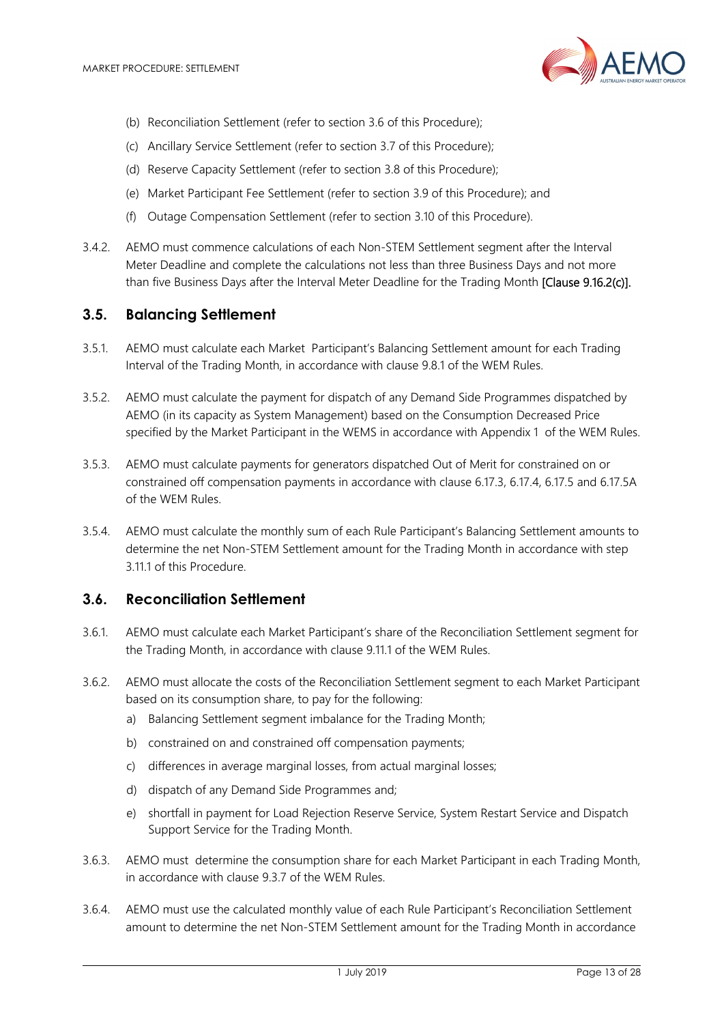

- (b) Reconciliation Settlement (refer to section 3.6 of this Procedure);
- (c) Ancillary Service Settlement (refer to section 3.7 of this Procedure);
- (d) Reserve Capacity Settlement (refer to section 3.8 of this Procedure);
- (e) Market Participant Fee Settlement (refer to section 3.9 of this Procedure); and
- (f) Outage Compensation Settlement (refer to section 3.10 of this Procedure).
- 3.4.2. AEMO must commence calculations of each Non-STEM Settlement segment after the Interval Meter Deadline and complete the calculations not less than three Business Days and not more than five Business Days after the Interval Meter Deadline for the Trading Month [Clause 9.16.2(c)].

#### **3.5. Balancing Settlement**

- 3.5.1. AEMO must calculate each Market Participant's Balancing Settlement amount for each Trading Interval of the Trading Month, in accordance with clause 9.8.1 of the WEM Rules.
- 3.5.2. AEMO must calculate the payment for dispatch of any Demand Side Programmes dispatched by AEMO (in its capacity as System Management) based on the Consumption Decreased Price specified by the Market Participant in the WEMS in accordance with Appendix 1 of the WEM Rules.
- 3.5.3. AEMO must calculate payments for generators dispatched Out of Merit for constrained on or constrained off compensation payments in accordance with clause 6.17.3, 6.17.4, 6.17.5 and 6.17.5A of the WEM Rules.
- 3.5.4. AEMO must calculate the monthly sum of each Rule Participant's Balancing Settlement amounts to determine the net Non-STEM Settlement amount for the Trading Month in accordance with step 3.11.1 of this Procedure.

#### **3.6. Reconciliation Settlement**

- 3.6.1. AEMO must calculate each Market Participant's share of the Reconciliation Settlement segment for the Trading Month, in accordance with clause 9.11.1 of the WEM Rules.
- 3.6.2. AEMO must allocate the costs of the Reconciliation Settlement segment to each Market Participant based on its consumption share, to pay for the following:
	- a) Balancing Settlement segment imbalance for the Trading Month;
	- b) constrained on and constrained off compensation payments;
	- c) differences in average marginal losses, from actual marginal losses;
	- d) dispatch of any Demand Side Programmes and;
	- e) shortfall in payment for Load Rejection Reserve Service, System Restart Service and Dispatch Support Service for the Trading Month.
- 3.6.3. AEMO must determine the consumption share for each Market Participant in each Trading Month, in accordance with clause 9.3.7 of the WEM Rules.
- 3.6.4. AEMO must use the calculated monthly value of each Rule Participant's Reconciliation Settlement amount to determine the net Non-STEM Settlement amount for the Trading Month in accordance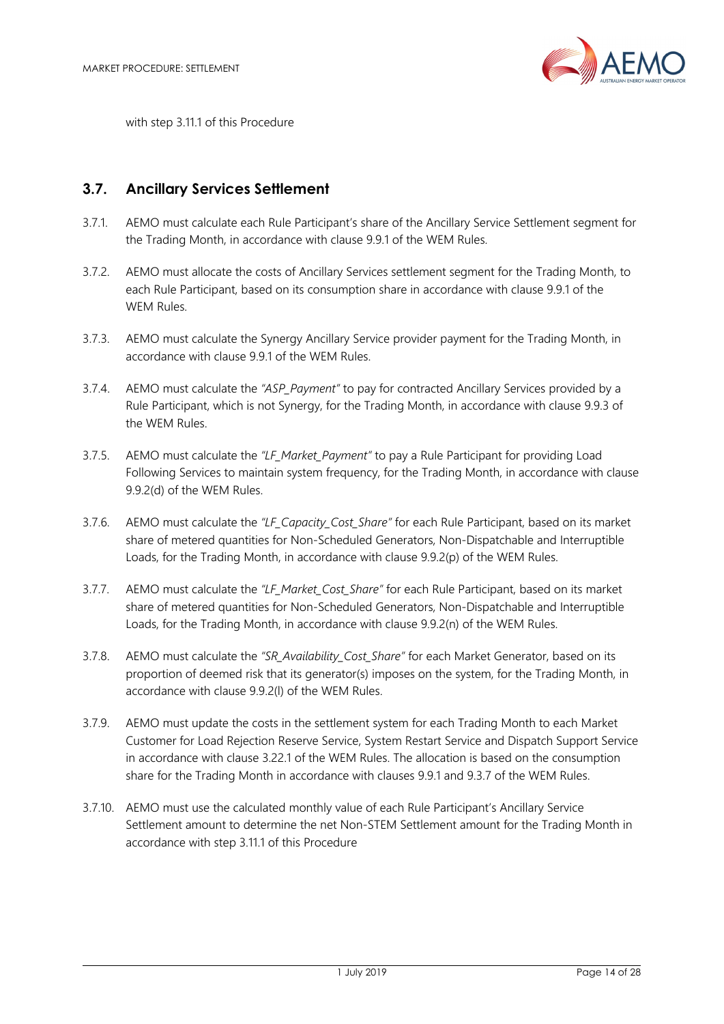

with step 3.11.1 of this Procedure

## **3.7. Ancillary Services Settlement**

- 3.7.1. AEMO must calculate each Rule Participant's share of the Ancillary Service Settlement segment for the Trading Month, in accordance with clause 9.9.1 of the WEM Rules.
- 3.7.2. AEMO must allocate the costs of Ancillary Services settlement segment for the Trading Month, to each Rule Participant, based on its consumption share in accordance with clause 9.9.1 of the WEM Rules.
- 3.7.3. AEMO must calculate the Synergy Ancillary Service provider payment for the Trading Month, in accordance with clause 9.9.1 of the WEM Rules.
- 3.7.4. AEMO must calculate the *"ASP\_Payment"* to pay for contracted Ancillary Services provided by a Rule Participant, which is not Synergy, for the Trading Month, in accordance with clause 9.9.3 of the WEM Rules.
- 3.7.5. AEMO must calculate the *"LF\_Market\_Payment"* to pay a Rule Participant for providing Load Following Services to maintain system frequency, for the Trading Month, in accordance with clause 9.9.2(d) of the WEM Rules.
- 3.7.6. AEMO must calculate the *"LF\_Capacity\_Cost\_Share"* for each Rule Participant, based on its market share of metered quantities for Non-Scheduled Generators, Non-Dispatchable and Interruptible Loads, for the Trading Month, in accordance with clause 9.9.2(p) of the WEM Rules.
- 3.7.7. AEMO must calculate the *"LF\_Market\_Cost\_Share"* for each Rule Participant, based on its market share of metered quantities for Non-Scheduled Generators, Non-Dispatchable and Interruptible Loads, for the Trading Month, in accordance with clause 9.9.2(n) of the WEM Rules.
- 3.7.8. AEMO must calculate the *"SR\_Availability\_Cost\_Share"* for each Market Generator, based on its proportion of deemed risk that its generator(s) imposes on the system, for the Trading Month, in accordance with clause 9.9.2(l) of the WEM Rules.
- 3.7.9. AEMO must update the costs in the settlement system for each Trading Month to each Market Customer for Load Rejection Reserve Service, System Restart Service and Dispatch Support Service in accordance with clause 3.22.1 of the WEM Rules. The allocation is based on the consumption share for the Trading Month in accordance with clauses 9.9.1 and 9.3.7 of the WEM Rules.
- 3.7.10. AEMO must use the calculated monthly value of each Rule Participant's Ancillary Service Settlement amount to determine the net Non-STEM Settlement amount for the Trading Month in accordance with step 3.11.1 of this Procedure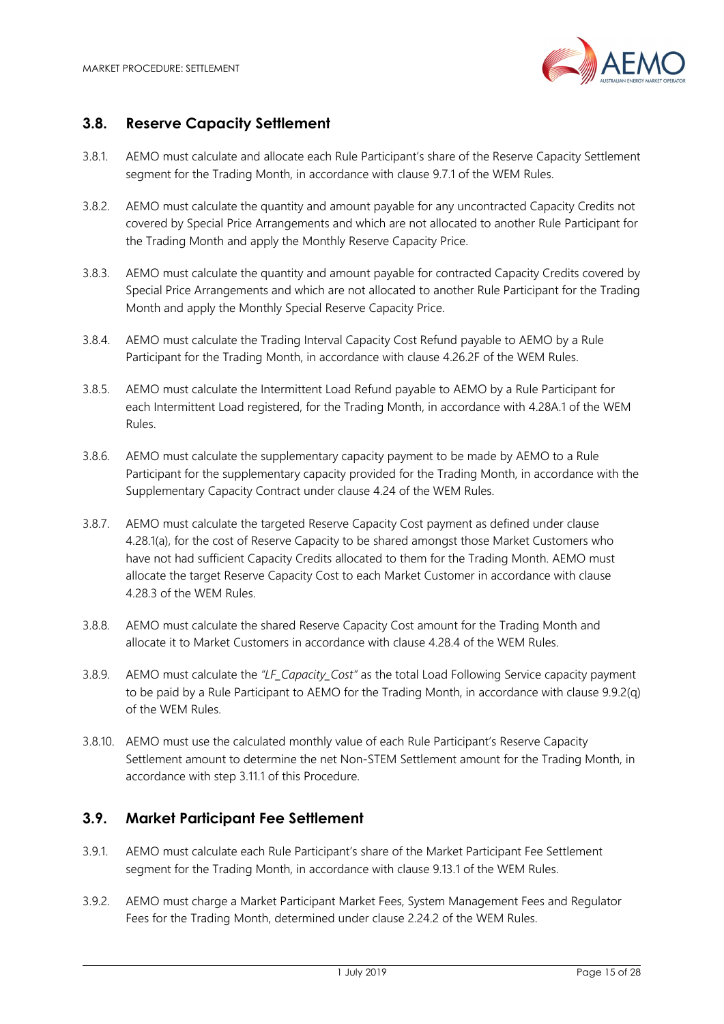

## **3.8. Reserve Capacity Settlement**

- 3.8.1. AEMO must calculate and allocate each Rule Participant's share of the Reserve Capacity Settlement segment for the Trading Month, in accordance with clause 9.7.1 of the WEM Rules.
- 3.8.2. AEMO must calculate the quantity and amount payable for any uncontracted Capacity Credits not covered by Special Price Arrangements and which are not allocated to another Rule Participant for the Trading Month and apply the Monthly Reserve Capacity Price.
- 3.8.3. AEMO must calculate the quantity and amount payable for contracted Capacity Credits covered by Special Price Arrangements and which are not allocated to another Rule Participant for the Trading Month and apply the Monthly Special Reserve Capacity Price.
- 3.8.4. AEMO must calculate the Trading Interval Capacity Cost Refund payable to AEMO by a Rule Participant for the Trading Month, in accordance with clause 4.26.2F of the WEM Rules.
- 3.8.5. AEMO must calculate the Intermittent Load Refund payable to AEMO by a Rule Participant for each Intermittent Load registered, for the Trading Month, in accordance with 4.28A.1 of the WEM Rules.
- 3.8.6. AEMO must calculate the supplementary capacity payment to be made by AEMO to a Rule Participant for the supplementary capacity provided for the Trading Month, in accordance with the Supplementary Capacity Contract under clause 4.24 of the WEM Rules.
- 3.8.7. AEMO must calculate the targeted Reserve Capacity Cost payment as defined under clause 4.28.1(a), for the cost of Reserve Capacity to be shared amongst those Market Customers who have not had sufficient Capacity Credits allocated to them for the Trading Month. AEMO must allocate the target Reserve Capacity Cost to each Market Customer in accordance with clause 4.28.3 of the WEM Rules.
- 3.8.8. AEMO must calculate the shared Reserve Capacity Cost amount for the Trading Month and allocate it to Market Customers in accordance with clause 4.28.4 of the WEM Rules.
- 3.8.9. AEMO must calculate the *"LF\_Capacity\_Cost"* as the total Load Following Service capacity payment to be paid by a Rule Participant to AEMO for the Trading Month, in accordance with clause 9.9.2(q) of the WEM Rules.
- 3.8.10. AEMO must use the calculated monthly value of each Rule Participant's Reserve Capacity Settlement amount to determine the net Non-STEM Settlement amount for the Trading Month, in accordance with step 3.11.1 of this Procedure.

## **3.9. Market Participant Fee Settlement**

- 3.9.1. AEMO must calculate each Rule Participant's share of the Market Participant Fee Settlement segment for the Trading Month, in accordance with clause 9.13.1 of the WEM Rules.
- 3.9.2. AEMO must charge a Market Participant Market Fees, System Management Fees and Regulator Fees for the Trading Month, determined under clause 2.24.2 of the WEM Rules.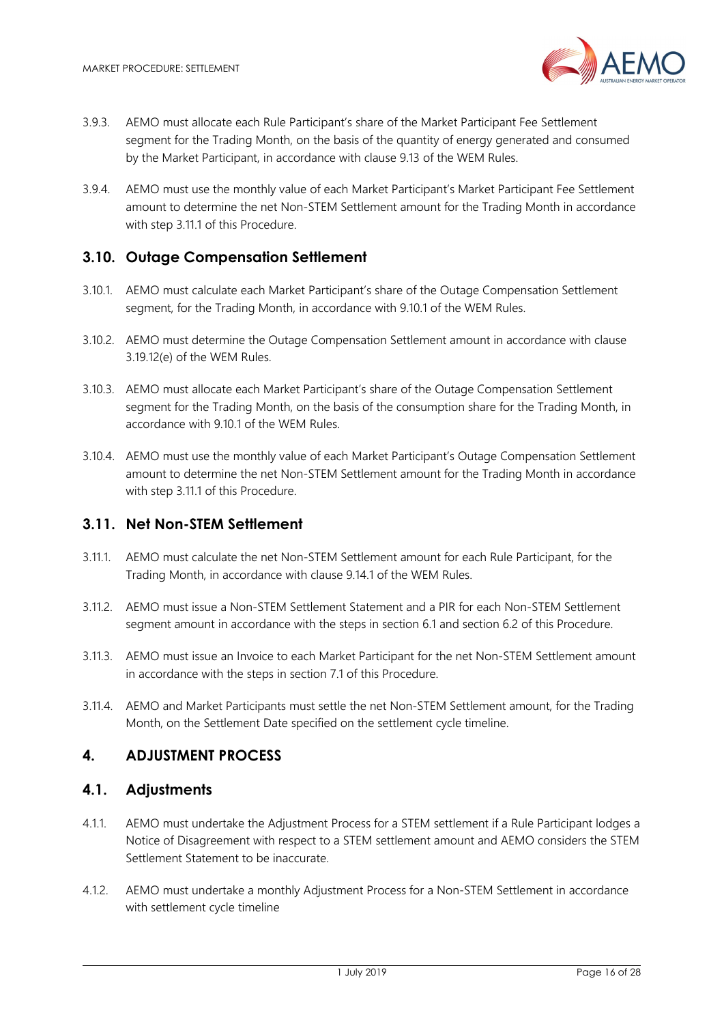

- 3.9.3. AEMO must allocate each Rule Participant's share of the Market Participant Fee Settlement segment for the Trading Month, on the basis of the quantity of energy generated and consumed by the Market Participant, in accordance with clause 9.13 of the WEM Rules.
- 3.9.4. AEMO must use the monthly value of each Market Participant's Market Participant Fee Settlement amount to determine the net Non-STEM Settlement amount for the Trading Month in accordance with step 3.11.1 of this Procedure.

#### **3.10. Outage Compensation Settlement**

- 3.10.1. AEMO must calculate each Market Participant's share of the Outage Compensation Settlement segment, for the Trading Month, in accordance with 9.10.1 of the WEM Rules.
- 3.10.2. AEMO must determine the Outage Compensation Settlement amount in accordance with clause 3.19.12(e) of the WEM Rules.
- 3.10.3. AEMO must allocate each Market Participant's share of the Outage Compensation Settlement segment for the Trading Month, on the basis of the consumption share for the Trading Month, in accordance with 9.10.1 of the WEM Rules.
- 3.10.4. AEMO must use the monthly value of each Market Participant's Outage Compensation Settlement amount to determine the net Non-STEM Settlement amount for the Trading Month in accordance with step 3.11.1 of this Procedure.

#### **3.11. Net Non-STEM Settlement**

- 3.11.1. AEMO must calculate the net Non-STEM Settlement amount for each Rule Participant, for the Trading Month, in accordance with clause 9.14.1 of the WEM Rules.
- 3.11.2. AEMO must issue a Non-STEM Settlement Statement and a PIR for each Non-STEM Settlement segment amount in accordance with the steps in section 6.1 and section 6.2 of this Procedure.
- 3.11.3. AEMO must issue an Invoice to each Market Participant for the net Non-STEM Settlement amount in accordance with the steps in section 7.1 of this Procedure.
- 3.11.4. AEMO and Market Participants must settle the net Non-STEM Settlement amount, for the Trading Month, on the Settlement Date specified on the settlement cycle timeline.

#### **4. ADJUSTMENT PROCESS**

#### **4.1. Adjustments**

- 4.1.1. AEMO must undertake the Adjustment Process for a STEM settlement if a Rule Participant lodges a Notice of Disagreement with respect to a STEM settlement amount and AEMO considers the STEM Settlement Statement to be inaccurate.
- 4.1.2. AEMO must undertake a monthly Adjustment Process for a Non-STEM Settlement in accordance with settlement cycle timeline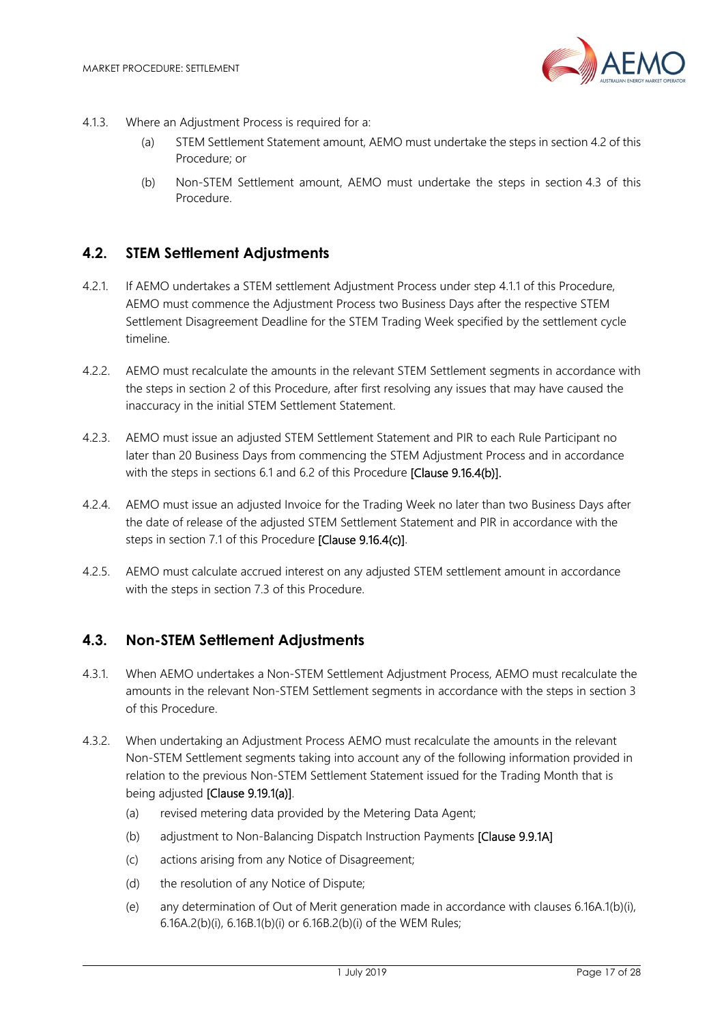

- 4.1.3. Where an Adjustment Process is required for a:
	- (a) STEM Settlement Statement amount, AEMO must undertake the steps in section 4.2 of this Procedure; or
	- (b) Non-STEM Settlement amount, AEMO must undertake the steps in section 4.3 of this Procedure.

## **4.2. STEM Settlement Adjustments**

- 4.2.1. If AEMO undertakes a STEM settlement Adjustment Process under step 4.1.1 of this Procedure, AEMO must commence the Adjustment Process two Business Days after the respective STEM Settlement Disagreement Deadline for the STEM Trading Week specified by the settlement cycle timeline.
- 4.2.2. AEMO must recalculate the amounts in the relevant STEM Settlement segments in accordance with the steps in section 2 of this Procedure, after first resolving any issues that may have caused the inaccuracy in the initial STEM Settlement Statement.
- 4.2.3. AEMO must issue an adjusted STEM Settlement Statement and PIR to each Rule Participant no later than 20 Business Days from commencing the STEM Adjustment Process and in accordance with the steps in sections 6.1 and 6.2 of this Procedure [Clause 9.16.4(b)].
- 4.2.4. AEMO must issue an adjusted Invoice for the Trading Week no later than two Business Days after the date of release of the adjusted STEM Settlement Statement and PIR in accordance with the steps in section 7.1 of this Procedure [Clause 9.16.4(c)].
- 4.2.5. AEMO must calculate accrued interest on any adjusted STEM settlement amount in accordance with the steps in section 7.3 of this Procedure.

#### **4.3. Non-STEM Settlement Adjustments**

- 4.3.1. When AEMO undertakes a Non-STEM Settlement Adjustment Process, AEMO must recalculate the amounts in the relevant Non-STEM Settlement segments in accordance with the steps in section 3 of this Procedure.
- 4.3.2. When undertaking an Adjustment Process AEMO must recalculate the amounts in the relevant Non-STEM Settlement segments taking into account any of the following information provided in relation to the previous Non-STEM Settlement Statement issued for the Trading Month that is being adjusted [Clause 9.19.1(a)].
	- (a) revised metering data provided by the Metering Data Agent;
	- (b) adjustment to Non-Balancing Dispatch Instruction Payments [Clause 9.9.1A]
	- (c) actions arising from any Notice of Disagreement;
	- (d) the resolution of any Notice of Dispute;
	- (e) any determination of Out of Merit generation made in accordance with clauses 6.16A.1(b)(i), 6.16A.2(b)(i), 6.16B.1(b)(i) or 6.16B.2(b)(i) of the WEM Rules;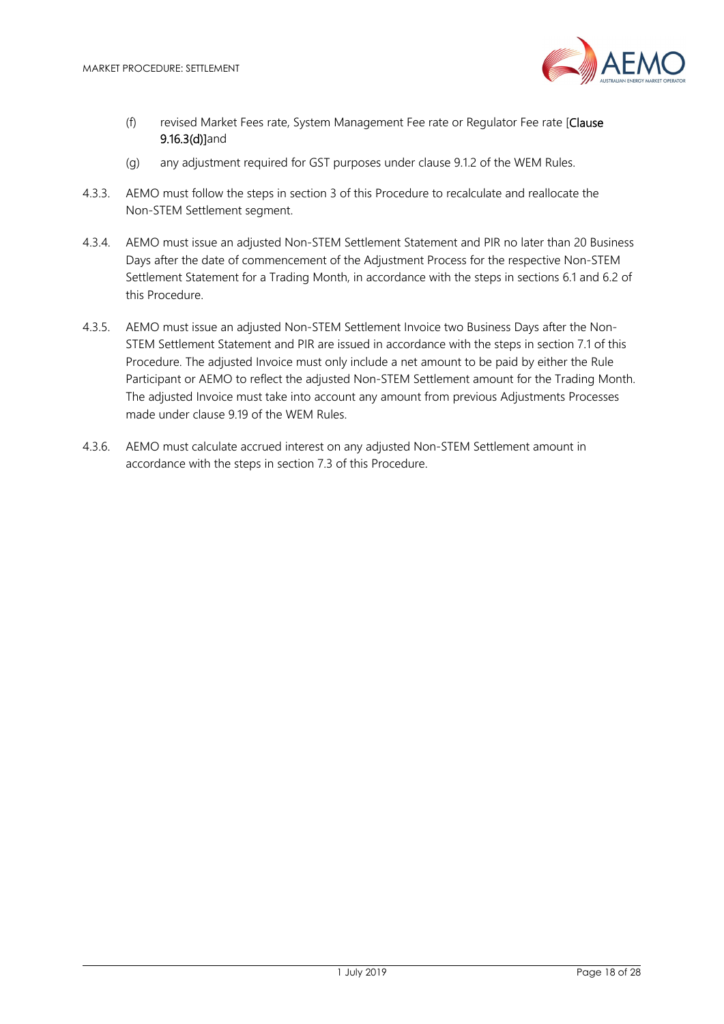

- (f) revised Market Fees rate, System Management Fee rate or Regulator Fee rate [Clause 9.16.3(d)]and
- (g) any adjustment required for GST purposes under clause 9.1.2 of the WEM Rules.
- 4.3.3. AEMO must follow the steps in section 3 of this Procedure to recalculate and reallocate the Non-STEM Settlement segment.
- 4.3.4. AEMO must issue an adjusted Non-STEM Settlement Statement and PIR no later than 20 Business Days after the date of commencement of the Adjustment Process for the respective Non-STEM Settlement Statement for a Trading Month, in accordance with the steps in sections 6.1 and 6.2 of this Procedure.
- 4.3.5. AEMO must issue an adjusted Non-STEM Settlement Invoice two Business Days after the Non-STEM Settlement Statement and PIR are issued in accordance with the steps in section 7.1 of this Procedure. The adjusted Invoice must only include a net amount to be paid by either the Rule Participant or AEMO to reflect the adjusted Non-STEM Settlement amount for the Trading Month. The adjusted Invoice must take into account any amount from previous Adjustments Processes made under clause 9.19 of the WEM Rules.
- 4.3.6. AEMO must calculate accrued interest on any adjusted Non-STEM Settlement amount in accordance with the steps in section 7.3 of this Procedure.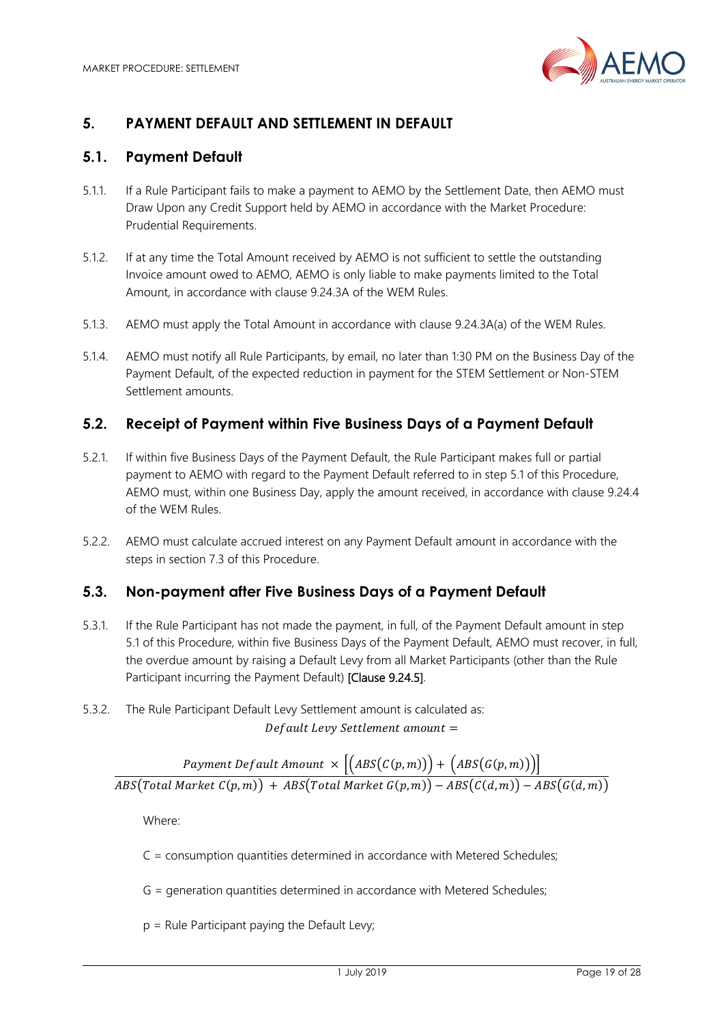

# **5. PAYMENT DEFAULT AND SETTLEMENT IN DEFAULT**

## **5.1. Payment Default**

- 5.1.1. If a Rule Participant fails to make a payment to AEMO by the Settlement Date, then AEMO must Draw Upon any Credit Support held by AEMO in accordance with the Market Procedure: Prudential Requirements.
- 5.1.2. If at any time the Total Amount received by AEMO is not sufficient to settle the outstanding Invoice amount owed to AEMO, AEMO is only liable to make payments limited to the Total Amount, in accordance with clause 9.24.3A of the WEM Rules.
- 5.1.3. AEMO must apply the Total Amount in accordance with clause 9.24.3A(a) of the WEM Rules.
- 5.1.4. AEMO must notify all Rule Participants, by email, no later than 1:30 PM on the Business Day of the Payment Default, of the expected reduction in payment for the STEM Settlement or Non-STEM Settlement amounts.

#### **5.2. Receipt of Payment within Five Business Days of a Payment Default**

- 5.2.1. If within five Business Days of the Payment Default, the Rule Participant makes full or partial payment to AEMO with regard to the Payment Default referred to in step 5.1 of this Procedure, AEMO must, within one Business Day, apply the amount received, in accordance with clause 9.24.4 of the WEM Rules.
- 5.2.2. AEMO must calculate accrued interest on any Payment Default amount in accordance with the steps in section 7.3 of this Procedure.

#### **5.3. Non-payment after Five Business Days of a Payment Default**

- 5.3.1. If the Rule Participant has not made the payment, in full, of the Payment Default amount in step 5.1 of this Procedure, within five Business Days of the Payment Default, AEMO must recover, in full, the overdue amount by raising a Default Levy from all Market Participants (other than the Rule Participant incurring the Payment Default) [Clause 9.24.5].
- 5.3.2. The Rule Participant Default Levy Settlement amount is calculated as: Default Levy Settlement amount =

Payment Default Amount  $\,\times\, \left| \left( \mathit{ABS}(C(p,m)) \right) \right| + \left( \mathit{ABS}(G(p,m)) \right) \right|$  $\overline{ABS(Total\text{ }Market\text{ }C(p,m)) + \overline{ABS(Total\text{ }Market\text{ }G(p,m)) - \overline{ABS(C(d,m)) - \overline{ABS(G(d,m))}}}$ 

Where:

C = consumption quantities determined in accordance with Metered Schedules;

G = generation quantities determined in accordance with Metered Schedules;

 $p =$  Rule Participant paying the Default Levy;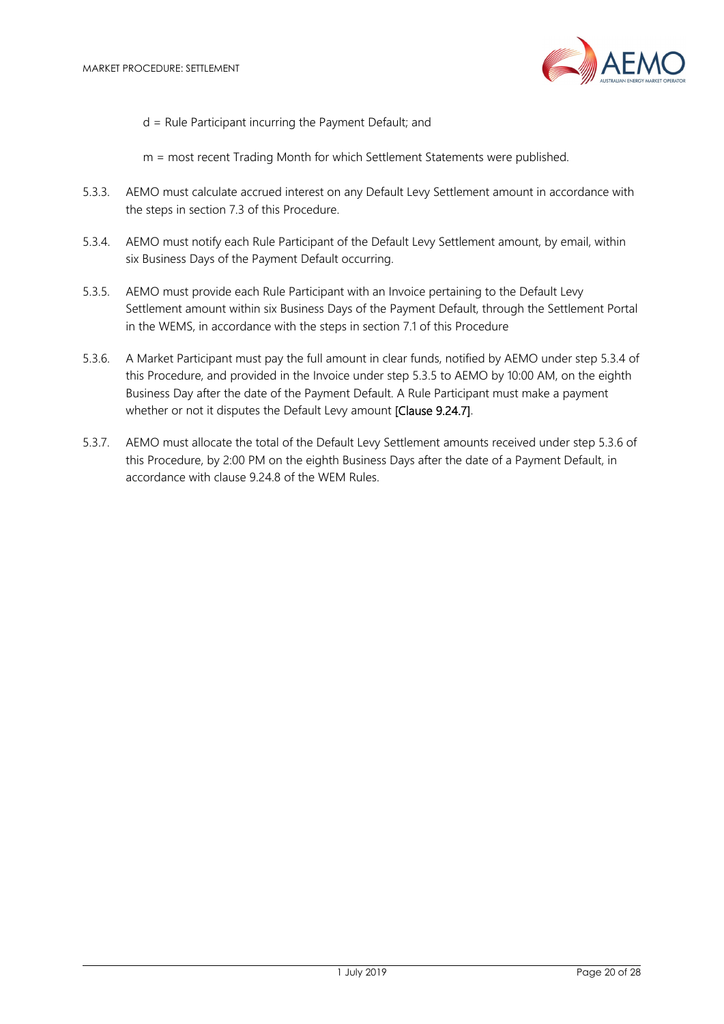

d = Rule Participant incurring the Payment Default; and

m = most recent Trading Month for which Settlement Statements were published.

- 5.3.3. AEMO must calculate accrued interest on any Default Levy Settlement amount in accordance with the steps in section 7.3 of this Procedure.
- 5.3.4. AEMO must notify each Rule Participant of the Default Levy Settlement amount, by email, within six Business Days of the Payment Default occurring.
- 5.3.5. AEMO must provide each Rule Participant with an Invoice pertaining to the Default Levy Settlement amount within six Business Days of the Payment Default, through the Settlement Portal in the WEMS, in accordance with the steps in section 7.1 of this Procedure
- 5.3.6. A Market Participant must pay the full amount in clear funds, notified by AEMO under step 5.3.4 of this Procedure, and provided in the Invoice under step 5.3.5 to AEMO by 10:00 AM, on the eighth Business Day after the date of the Payment Default. A Rule Participant must make a payment whether or not it disputes the Default Levy amount [Clause 9.24.7].
- 5.3.7. AEMO must allocate the total of the Default Levy Settlement amounts received under step 5.3.6 of this Procedure, by 2:00 PM on the eighth Business Days after the date of a Payment Default, in accordance with clause 9.24.8 of the WEM Rules.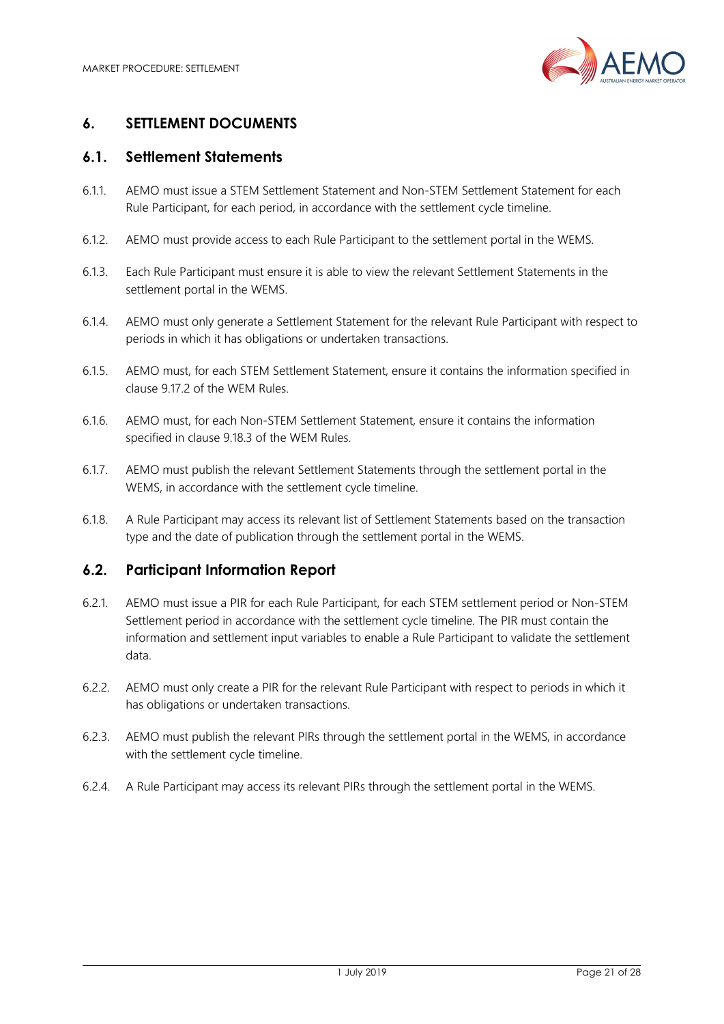

## **6. SETTLEMENT DOCUMENTS**

## **6.1. Settlement Statements**

- 6.1.1. AEMO must issue a STEM Settlement Statement and Non-STEM Settlement Statement for each Rule Participant, for each period, in accordance with the settlement cycle timeline.
- 6.1.2. AEMO must provide access to each Rule Participant to the settlement portal in the WEMS.
- 6.1.3. Each Rule Participant must ensure it is able to view the relevant Settlement Statements in the settlement portal in the WEMS.
- 6.1.4. AEMO must only generate a Settlement Statement for the relevant Rule Participant with respect to periods in which it has obligations or undertaken transactions.
- 6.1.5. AEMO must, for each STEM Settlement Statement, ensure it contains the information specified in clause 9.17.2 of the WEM Rules.
- 6.1.6. AEMO must, for each Non-STEM Settlement Statement, ensure it contains the information specified in clause 9.18.3 of the WEM Rules.
- 6.1.7. AEMO must publish the relevant Settlement Statements through the settlement portal in the WEMS, in accordance with the settlement cycle timeline.
- 6.1.8. A Rule Participant may access its relevant list of Settlement Statements based on the transaction type and the date of publication through the settlement portal in the WEMS.

## **6.2. Participant Information Report**

- 6.2.1. AEMO must issue a PIR for each Rule Participant, for each STEM settlement period or Non-STEM Settlement period in accordance with the settlement cycle timeline. The PIR must contain the information and settlement input variables to enable a Rule Participant to validate the settlement data.
- 6.2.2. AEMO must only create a PIR for the relevant Rule Participant with respect to periods in which it has obligations or undertaken transactions.
- 6.2.3. AEMO must publish the relevant PIRs through the settlement portal in the WEMS, in accordance with the settlement cycle timeline.
- 6.2.4. A Rule Participant may access its relevant PIRs through the settlement portal in the WEMS.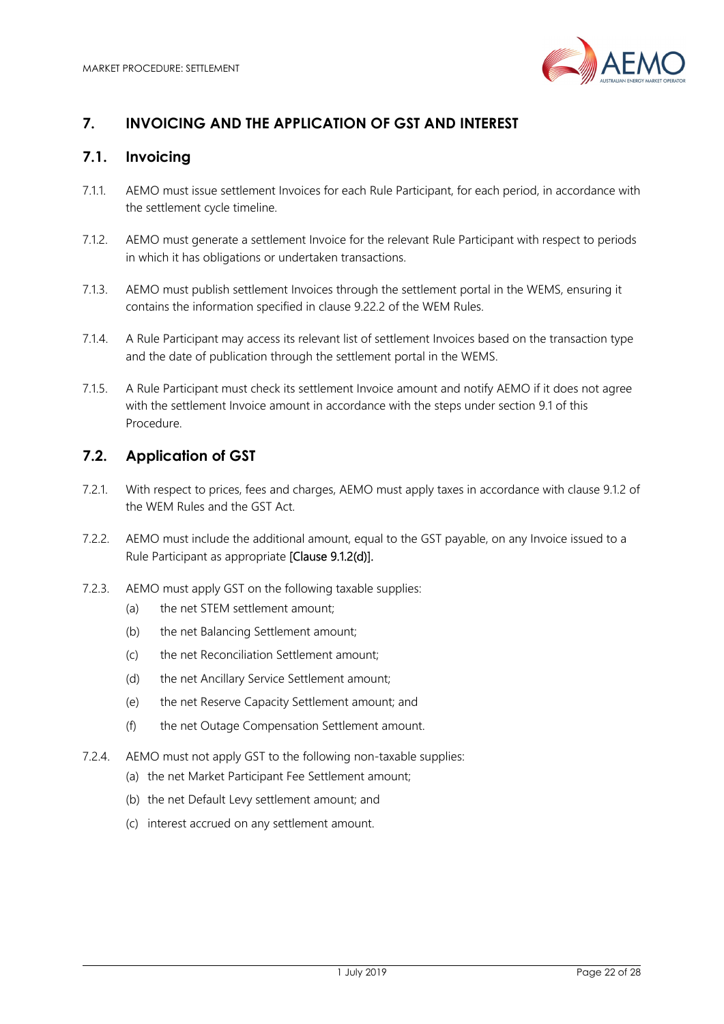

# **7. INVOICING AND THE APPLICATION OF GST AND INTEREST**

## **7.1. Invoicing**

- 7.1.1. AEMO must issue settlement Invoices for each Rule Participant, for each period, in accordance with the settlement cycle timeline.
- 7.1.2. AEMO must generate a settlement Invoice for the relevant Rule Participant with respect to periods in which it has obligations or undertaken transactions.
- 7.1.3. AEMO must publish settlement Invoices through the settlement portal in the WEMS, ensuring it contains the information specified in clause 9.22.2 of the WEM Rules.
- 7.1.4. A Rule Participant may access its relevant list of settlement Invoices based on the transaction type and the date of publication through the settlement portal in the WEMS.
- 7.1.5. A Rule Participant must check its settlement Invoice amount and notify AEMO if it does not agree with the settlement Invoice amount in accordance with the steps under section 9.1 of this Procedure.

## **7.2. Application of GST**

- 7.2.1. With respect to prices, fees and charges, AEMO must apply taxes in accordance with clause 9.1.2 of the WEM Rules and the GST Act.
- 7.2.2. AEMO must include the additional amount, equal to the GST payable, on any Invoice issued to a Rule Participant as appropriate [Clause 9.1.2(d)].
- 7.2.3. AEMO must apply GST on the following taxable supplies:
	- (a) the net STEM settlement amount;
	- (b) the net Balancing Settlement amount;
	- (c) the net Reconciliation Settlement amount;
	- (d) the net Ancillary Service Settlement amount;
	- (e) the net Reserve Capacity Settlement amount; and
	- (f) the net Outage Compensation Settlement amount.
- 7.2.4. AEMO must not apply GST to the following non-taxable supplies:
	- (a) the net Market Participant Fee Settlement amount;
	- (b) the net Default Levy settlement amount; and
	- (c) interest accrued on any settlement amount.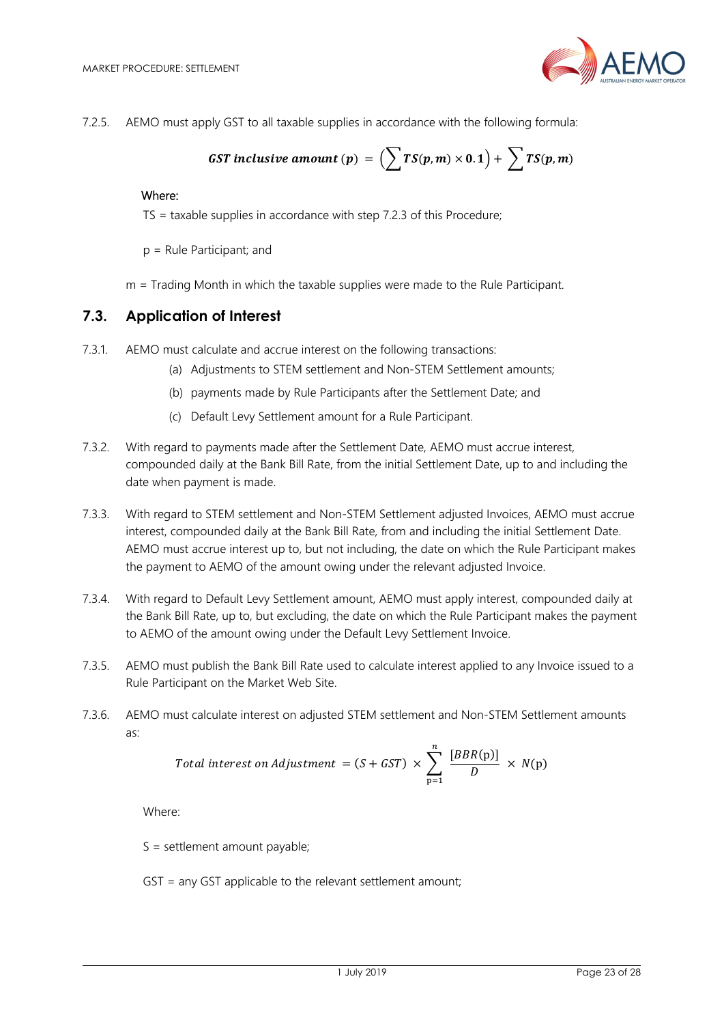

7.2.5. AEMO must apply GST to all taxable supplies in accordance with the following formula:

**GST** inclusive amount (p) = 
$$
(\sum TS(p,m) \times 0.1) + \sum TS(p,m)
$$

#### Where:

TS = taxable supplies in accordance with step 7.2.3 of this Procedure;

p = Rule Participant; and

m = Trading Month in which the taxable supplies were made to the Rule Participant.

#### **7.3. Application of Interest**

- 7.3.1. AEMO must calculate and accrue interest on the following transactions:
	- (a) Adjustments to STEM settlement and Non-STEM Settlement amounts;
	- (b) payments made by Rule Participants after the Settlement Date; and
	- (c) Default Levy Settlement amount for a Rule Participant.
- 7.3.2. With regard to payments made after the Settlement Date, AEMO must accrue interest, compounded daily at the Bank Bill Rate, from the initial Settlement Date, up to and including the date when payment is made.
- 7.3.3. With regard to STEM settlement and Non-STEM Settlement adjusted Invoices, AEMO must accrue interest, compounded daily at the Bank Bill Rate, from and including the initial Settlement Date. AEMO must accrue interest up to, but not including, the date on which the Rule Participant makes the payment to AEMO of the amount owing under the relevant adjusted Invoice.
- 7.3.4. With regard to Default Levy Settlement amount, AEMO must apply interest, compounded daily at the Bank Bill Rate, up to, but excluding, the date on which the Rule Participant makes the payment to AEMO of the amount owing under the Default Levy Settlement Invoice.
- 7.3.5. AEMO must publish the Bank Bill Rate used to calculate interest applied to any Invoice issued to a Rule Participant on the Market Web Site.
- 7.3.6. AEMO must calculate interest on adjusted STEM settlement and Non-STEM Settlement amounts as:

Total interest on Adjustment = 
$$
(S + GST) \times \sum_{p=1}^{n} \frac{[BBR(p)]}{D} \times N(p)
$$

Where:

 $S =$  settlement amount payable;

GST = any GST applicable to the relevant settlement amount;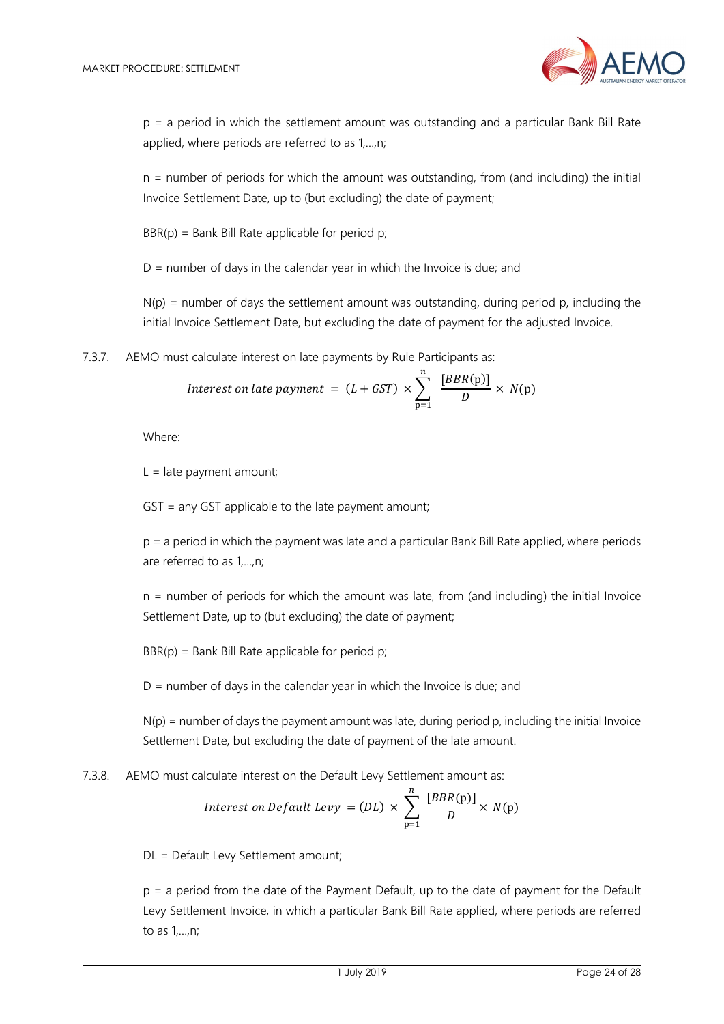

p = a period in which the settlement amount was outstanding and a particular Bank Bill Rate applied, where periods are referred to as 1,…,n;

n = number of periods for which the amount was outstanding, from (and including) the initial Invoice Settlement Date, up to (but excluding) the date of payment;

 $BBR(p) = Bank Bill Rate applicable for period p;$ 

 $D =$  number of days in the calendar year in which the Invoice is due; and

 $N(p)$  = number of days the settlement amount was outstanding, during period p, including the initial Invoice Settlement Date, but excluding the date of payment for the adjusted Invoice.

7.3.7. AEMO must calculate interest on late payments by Rule Participants as:

Interest on late payment = 
$$
(L + GST) \times \sum_{p=1}^{n} \frac{[BBR(p)]}{D} \times N(p)
$$

Where:

 $L =$  late payment amount;

GST = any GST applicable to the late payment amount;

p = a period in which the payment was late and a particular Bank Bill Rate applied, where periods are referred to as 1,…,n;

n = number of periods for which the amount was late, from (and including) the initial Invoice Settlement Date, up to (but excluding) the date of payment;

 $BBR(p) = Bank Bill Rate applicable for period p;$ 

 $D =$  number of days in the calendar year in which the Invoice is due; and

 $N(p)$  = number of days the payment amount was late, during period p, including the initial Invoice Settlement Date, but excluding the date of payment of the late amount.

7.3.8. AEMO must calculate interest on the Default Levy Settlement amount as:

Interest on Default Levy = (DL) 
$$
\times \sum_{p=1}^{n} \frac{[BBR(p)]}{D} \times N(p)
$$

DL = Default Levy Settlement amount;

p = a period from the date of the Payment Default, up to the date of payment for the Default Levy Settlement Invoice, in which a particular Bank Bill Rate applied, where periods are referred to as 1,…,n;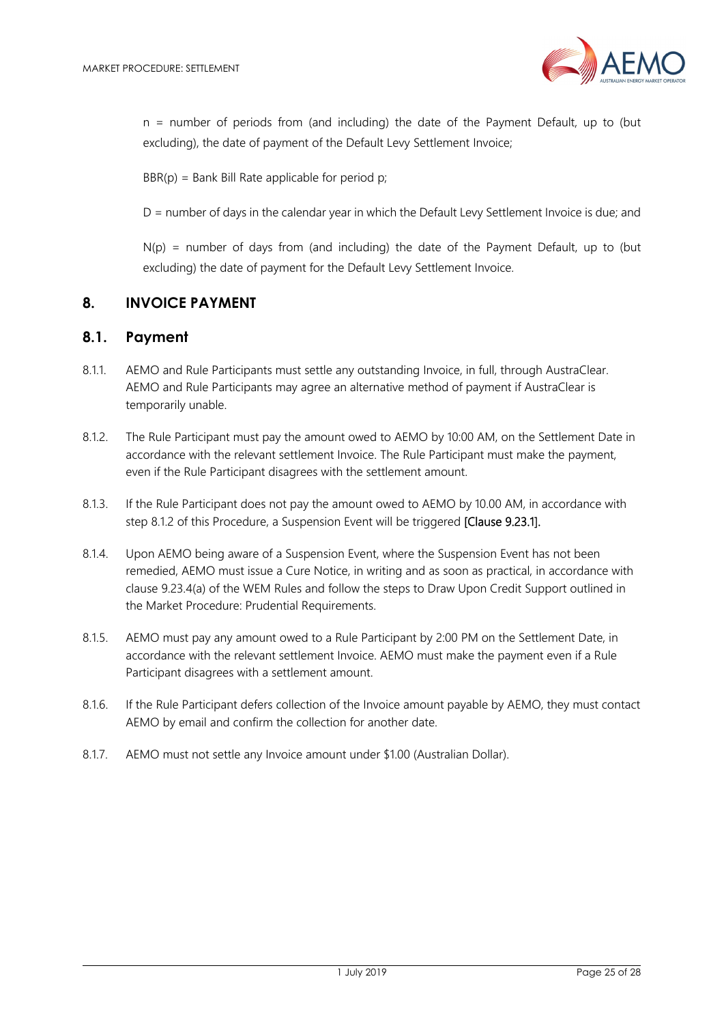

n = number of periods from (and including) the date of the Payment Default, up to (but excluding), the date of payment of the Default Levy Settlement Invoice;

 $BBR(p) = Bank Bill Rate applicable for period p;$ 

D = number of days in the calendar year in which the Default Levy Settlement Invoice is due; and

 $N(p)$  = number of days from (and including) the date of the Payment Default, up to (but excluding) the date of payment for the Default Levy Settlement Invoice.

#### **8. INVOICE PAYMENT**

#### **8.1. Payment**

- 8.1.1. AEMO and Rule Participants must settle any outstanding Invoice, in full, through AustraClear. AEMO and Rule Participants may agree an alternative method of payment if AustraClear is temporarily unable.
- 8.1.2. The Rule Participant must pay the amount owed to AEMO by 10:00 AM, on the Settlement Date in accordance with the relevant settlement Invoice. The Rule Participant must make the payment, even if the Rule Participant disagrees with the settlement amount.
- 8.1.3. If the Rule Participant does not pay the amount owed to AEMO by 10.00 AM, in accordance with step 8.1.2 of this Procedure, a Suspension Event will be triggered [Clause 9.23.1].
- 8.1.4. Upon AEMO being aware of a Suspension Event, where the Suspension Event has not been remedied, AEMO must issue a Cure Notice, in writing and as soon as practical, in accordance with clause 9.23.4(a) of the WEM Rules and follow the steps to Draw Upon Credit Support outlined in the Market Procedure: Prudential Requirements.
- 8.1.5. AEMO must pay any amount owed to a Rule Participant by 2:00 PM on the Settlement Date, in accordance with the relevant settlement Invoice. AEMO must make the payment even if a Rule Participant disagrees with a settlement amount.
- 8.1.6. If the Rule Participant defers collection of the Invoice amount payable by AEMO, they must contact AEMO by email and confirm the collection for another date.
- 8.1.7. AEMO must not settle any Invoice amount under \$1.00 (Australian Dollar).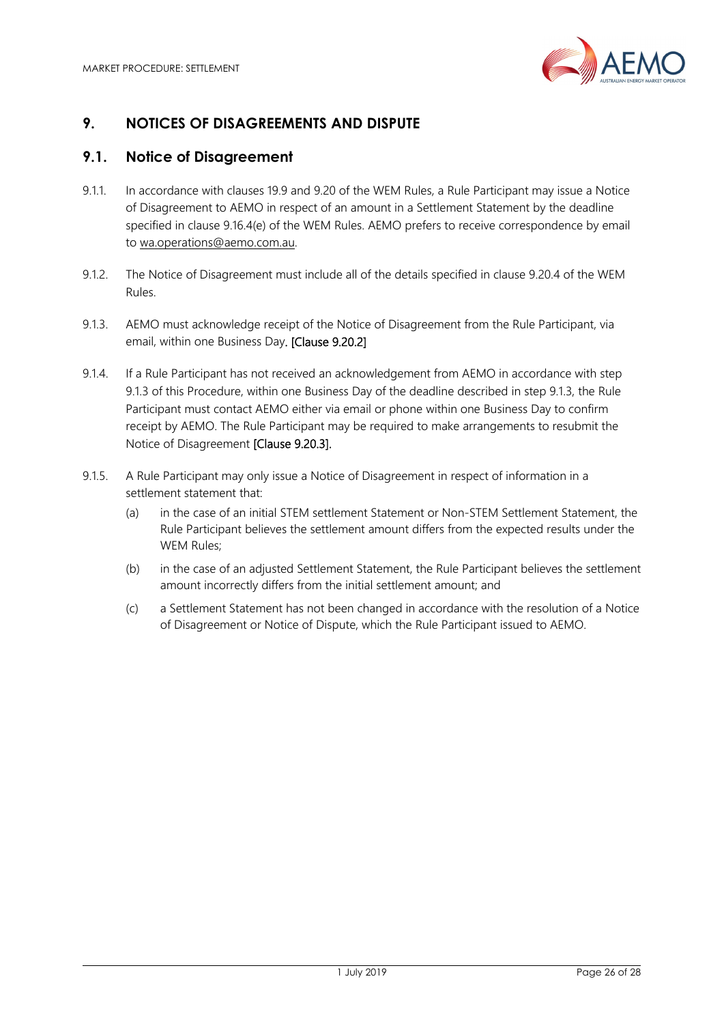

# **9. NOTICES OF DISAGREEMENTS AND DISPUTE**

## **9.1. Notice of Disagreement**

- 9.1.1. In accordance with clauses 19.9 and 9.20 of the WEM Rules, a Rule Participant may issue a Notice of Disagreement to AEMO in respect of an amount in a Settlement Statement by the deadline specified in clause 9.16.4(e) of the WEM Rules. AEMO prefers to receive correspondence by email to wa.operations@aemo.com.au.
- 9.1.2. The Notice of Disagreement must include all of the details specified in clause 9.20.4 of the WEM Rules.
- 9.1.3. AEMO must acknowledge receipt of the Notice of Disagreement from the Rule Participant, via email, within one Business Day. [Clause 9.20.2]
- 9.1.4. If a Rule Participant has not received an acknowledgement from AEMO in accordance with step 9.1.3 of this Procedure, within one Business Day of the deadline described in step 9.1.3, the Rule Participant must contact AEMO either via email or phone within one Business Day to confirm receipt by AEMO. The Rule Participant may be required to make arrangements to resubmit the Notice of Disagreement [Clause 9.20.3].
- 9.1.5. A Rule Participant may only issue a Notice of Disagreement in respect of information in a settlement statement that:
	- (a) in the case of an initial STEM settlement Statement or Non-STEM Settlement Statement, the Rule Participant believes the settlement amount differs from the expected results under the WEM Rules;
	- (b) in the case of an adjusted Settlement Statement, the Rule Participant believes the settlement amount incorrectly differs from the initial settlement amount; and
	- (c) a Settlement Statement has not been changed in accordance with the resolution of a Notice of Disagreement or Notice of Dispute, which the Rule Participant issued to AEMO.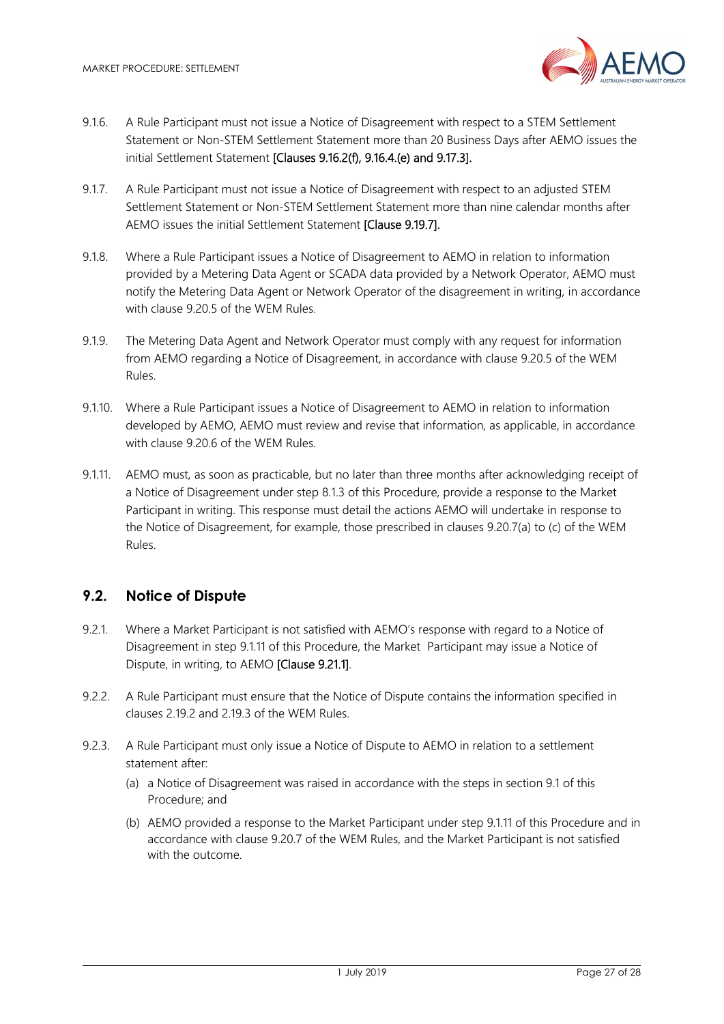

- 9.1.6. A Rule Participant must not issue a Notice of Disagreement with respect to a STEM Settlement Statement or Non-STEM Settlement Statement more than 20 Business Days after AEMO issues the initial Settlement Statement [Clauses 9.16.2(f), 9.16.4.(e) and 9.17.3].
- 9.1.7. A Rule Participant must not issue a Notice of Disagreement with respect to an adjusted STEM Settlement Statement or Non-STEM Settlement Statement more than nine calendar months after AEMO issues the initial Settlement Statement [Clause 9.19.7].
- 9.1.8. Where a Rule Participant issues a Notice of Disagreement to AEMO in relation to information provided by a Metering Data Agent or SCADA data provided by a Network Operator, AEMO must notify the Metering Data Agent or Network Operator of the disagreement in writing, in accordance with clause 9.20.5 of the WEM Rules.
- 9.1.9. The Metering Data Agent and Network Operator must comply with any request for information from AEMO regarding a Notice of Disagreement, in accordance with clause 9.20.5 of the WEM Rules.
- 9.1.10. Where a Rule Participant issues a Notice of Disagreement to AEMO in relation to information developed by AEMO, AEMO must review and revise that information, as applicable, in accordance with clause 9.20.6 of the WEM Rules.
- 9.1.11. AEMO must, as soon as practicable, but no later than three months after acknowledging receipt of a Notice of Disagreement under step 8.1.3 of this Procedure, provide a response to the Market Participant in writing. This response must detail the actions AEMO will undertake in response to the Notice of Disagreement, for example, those prescribed in clauses 9.20.7(a) to (c) of the WEM Rules.

## **9.2. Notice of Dispute**

- 9.2.1. Where a Market Participant is not satisfied with AEMO's response with regard to a Notice of Disagreement in step 9.1.11 of this Procedure, the Market Participant may issue a Notice of Dispute, in writing, to AEMO [Clause 9.21.1].
- 9.2.2. A Rule Participant must ensure that the Notice of Dispute contains the information specified in clauses 2.19.2 and 2.19.3 of the WEM Rules.
- 9.2.3. A Rule Participant must only issue a Notice of Dispute to AEMO in relation to a settlement statement after:
	- (a) a Notice of Disagreement was raised in accordance with the steps in section 9.1 of this Procedure; and
	- (b) AEMO provided a response to the Market Participant under step 9.1.11 of this Procedure and in accordance with clause 9.20.7 of the WEM Rules, and the Market Participant is not satisfied with the outcome.